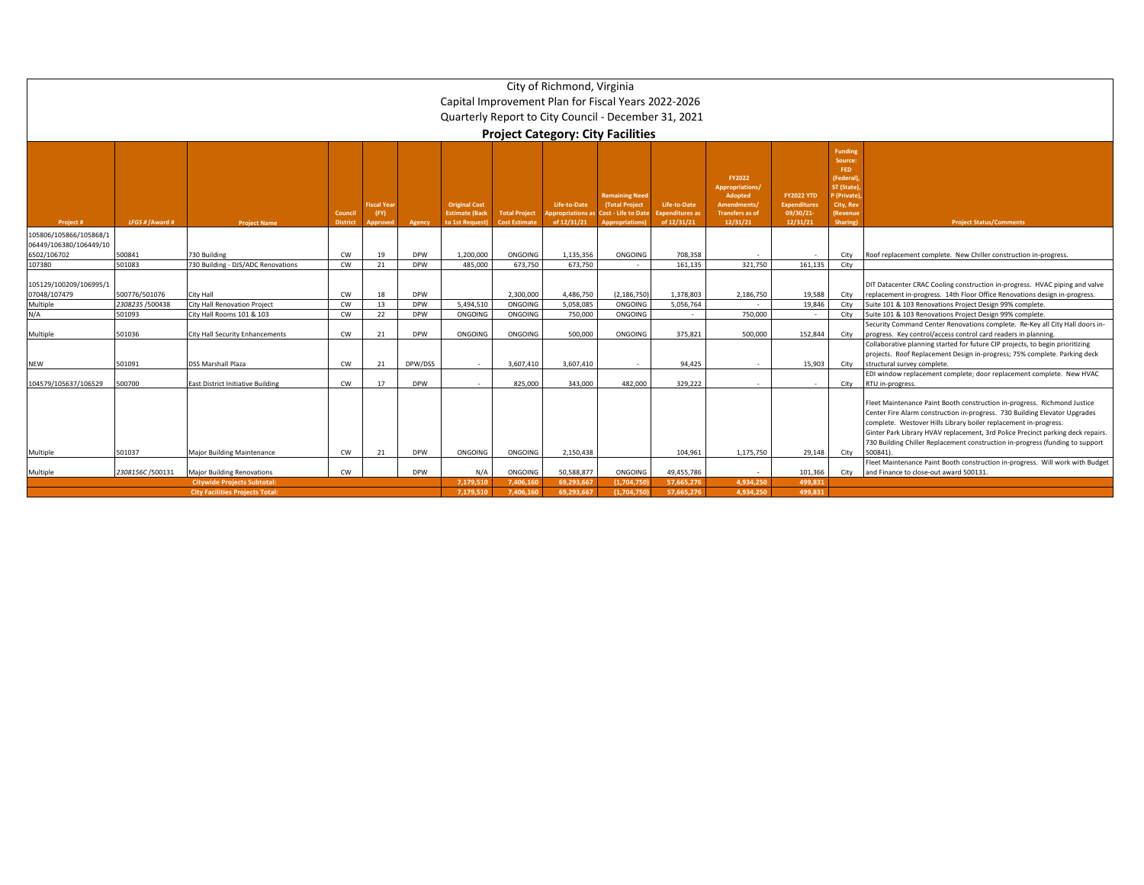|                                        |                                                                                                                                    |                                                              |                            |                                        |                          |                                                                 |                                              | City of Richmond, Virginia                     | Capital Improvement Plan for Fiscal Years 2022-2026<br>Quarterly Report to City Council - December 31, 2021<br><b>Project Category: City Facilities</b> |                                                       |                                                                                                  |                                                                  |                                                                                                                    |                                                                                                                                                                                                                                                                                                                                                                                                           |
|----------------------------------------|------------------------------------------------------------------------------------------------------------------------------------|--------------------------------------------------------------|----------------------------|----------------------------------------|--------------------------|-----------------------------------------------------------------|----------------------------------------------|------------------------------------------------|---------------------------------------------------------------------------------------------------------------------------------------------------------|-------------------------------------------------------|--------------------------------------------------------------------------------------------------|------------------------------------------------------------------|--------------------------------------------------------------------------------------------------------------------|-----------------------------------------------------------------------------------------------------------------------------------------------------------------------------------------------------------------------------------------------------------------------------------------------------------------------------------------------------------------------------------------------------------|
| Project #                              | LFGS # / Award #                                                                                                                   | <b>Project Name</b>                                          | Council<br><b>District</b> | <b>Fiscal Year</b><br>(FY)<br>Approver | Agency                   | <b>Original Cost</b><br><b>Estimate (Back</b><br>to 1st Request | <b>Total Project</b><br><b>Cost Estimate</b> | Life-to-Date<br>ppropriations a<br>of 12/31/21 | <b>Remaining Need</b><br>(Total Project<br>Cost - Life to Date<br><b>Appropriations</b>                                                                 | Life-to-Date<br><b>Expenditures</b> as<br>of 12/31/21 | <b>FY2022</b><br>Appropriations/<br>Adopted<br>Amendments/<br><b>Transfers as of</b><br>12/31/21 | <b>FY2022 YTD</b><br><b>Expenditures</b><br>09/30/21<br>12/31/21 | <b>Funding</b><br>Source:<br>FED<br>[Federal]<br><b>ST</b> (State)<br>(Private<br>City, Rev<br>Revenue<br>Sharing) | <b>Project Status/Comments</b>                                                                                                                                                                                                                                                                                                                                                                            |
| 105806/105866/105868/1                 |                                                                                                                                    |                                                              |                            |                                        |                          |                                                                 |                                              |                                                |                                                                                                                                                         |                                                       |                                                                                                  |                                                                  |                                                                                                                    |                                                                                                                                                                                                                                                                                                                                                                                                           |
| 06449/106380/106449/10<br>6502/106702  | 500841                                                                                                                             | 730 Building                                                 | CW                         | 19                                     | <b>DPW</b>               | 1,200,000                                                       | ONGOING                                      | 1.135.356                                      | ONGOING                                                                                                                                                 | 708,358                                               |                                                                                                  |                                                                  | City                                                                                                               | Roof replacement complete. New Chiller construction in-progress.                                                                                                                                                                                                                                                                                                                                          |
| 107380                                 | 501083                                                                                                                             | 730 Building - DJS/ADC Renovations                           | CW                         | 21                                     | <b>DPW</b>               | 485,000                                                         | 673.750                                      | 673.750                                        |                                                                                                                                                         | 161.135                                               | 321.750                                                                                          | 161,135                                                          | City                                                                                                               |                                                                                                                                                                                                                                                                                                                                                                                                           |
| 105129/100209/106995/1<br>07048/107479 | 500776/501076                                                                                                                      | City Hall                                                    | CW                         | 18                                     | <b>DPW</b>               |                                                                 | 2.300.000                                    | 4.486.750                                      | (2.186.750)                                                                                                                                             | 1.378.803                                             | 2,186,750                                                                                        | 19.588                                                           | City                                                                                                               | DIT Datacenter CRAC Cooling construction in-progress. HVAC piping and valve<br>replacement in-progress. 14th Floor Office Renovations design in-progress.                                                                                                                                                                                                                                                 |
| Multiple<br>N/A                        | 2308235 /500438                                                                                                                    | <b>City Hall Renovation Project</b>                          | CW                         | 13                                     | <b>DPW</b>               | 5,494,510                                                       | ONGOING                                      | 5.058.085                                      | ONGOING                                                                                                                                                 | 5,056,764                                             |                                                                                                  | 19,846                                                           | City                                                                                                               | Suite 101 & 103 Renovations Project Design 99% complete.                                                                                                                                                                                                                                                                                                                                                  |
| Multiple                               | 501093<br>501036                                                                                                                   | City Hall Rooms 101 & 103<br>City Hall Security Enhancements | CW<br>CW                   | 22<br>21                               | <b>DPW</b><br><b>DPW</b> | ONGOING<br>ONGOING                                              | ONGOING<br>ONGOING                           | 750,000<br>500,000                             | ONGOING<br>ONGOING                                                                                                                                      | 375,821                                               | 750,000<br>500,000                                                                               | 152,844                                                          | City<br>City                                                                                                       | Suite 101 & 103 Renovations Project Design 99% complete<br>Security Command Center Renovations complete. Re-Key all City Hall doors in-<br>progress. Key control/access control card readers in planning.                                                                                                                                                                                                 |
| <b>NEW</b>                             | 501091                                                                                                                             | <b>DSS Marshall Plaza</b>                                    | CW                         | 21                                     | DPW/DSS                  |                                                                 | 3.607.410                                    | 3.607.410                                      |                                                                                                                                                         | 94.425                                                |                                                                                                  | 15.903                                                           | City                                                                                                               | Collaborative planning started for future CIP projects, to begin prioritizing<br>projects. Roof Replacement Design in-progress; 75% complete. Parking deck<br>structural survey complete.                                                                                                                                                                                                                 |
| 104579/105637/106529                   | 00700                                                                                                                              | East District Initiative Building                            | CW                         | 17                                     | <b>DPW</b>               | $\sim$                                                          | 825.000                                      | 343,000                                        | 482.000                                                                                                                                                 | 329,222                                               |                                                                                                  |                                                                  | City                                                                                                               | EDI window replacement complete; door replacement complete. New HVAC<br>RTU in-progress.                                                                                                                                                                                                                                                                                                                  |
| Multiple                               | 501037                                                                                                                             | <b>Major Building Maintenance</b>                            | CW                         | 21                                     | <b>DPW</b>               | ONGOING                                                         | ONGOING                                      | 2.150.438                                      |                                                                                                                                                         | 104.961                                               | 1.175.750                                                                                        | 29.148                                                           | City                                                                                                               | Fleet Maintenance Paint Booth construction in-progress. Richmond Justice<br>Center Fire Alarm construction in-progress. 730 Building Elevator Upgrades<br>complete. Westover Hills Library boiler replacement in-progress.<br>Ginter Park Library HVAV replacement, 3rd Police Precinct parking deck repairs.<br>730 Building Chiller Replacement construction in-progress (funding to support<br>500841) |
|                                        |                                                                                                                                    |                                                              |                            |                                        |                          |                                                                 |                                              |                                                |                                                                                                                                                         |                                                       |                                                                                                  |                                                                  |                                                                                                                    | Fleet Maintenance Paint Booth construction in-progress. Will work with Budget                                                                                                                                                                                                                                                                                                                             |
| Multiple                               | 2308156C/500131                                                                                                                    | <b>Major Building Renovations</b>                            | CW                         |                                        | <b>DPW</b>               | N/l                                                             | ONGOING                                      | 50.588.877                                     | ONGOING                                                                                                                                                 | 49,455,786                                            | $\sim$                                                                                           | 101,366                                                          | City                                                                                                               | and Finance to close-out award 500131.                                                                                                                                                                                                                                                                                                                                                                    |
|                                        |                                                                                                                                    | <b>Citywide Projects Subtotal:</b>                           |                            |                                        |                          | 7.179.510                                                       | 7.406.160                                    | 69.293.667                                     | (1.704.750                                                                                                                                              | 57.665.276                                            | 4,934,250                                                                                        | 499.831                                                          |                                                                                                                    |                                                                                                                                                                                                                                                                                                                                                                                                           |
|                                        | <b>City Facilities Projects Total:</b><br>7.179.510<br>7.406.160<br>69.293.667<br>(1.704.750<br>57.665.276<br>4.934.250<br>499.831 |                                                              |                            |                                        |                          |                                                                 |                                              |                                                |                                                                                                                                                         |                                                       |                                                                                                  |                                                                  |                                                                                                                    |                                                                                                                                                                                                                                                                                                                                                                                                           |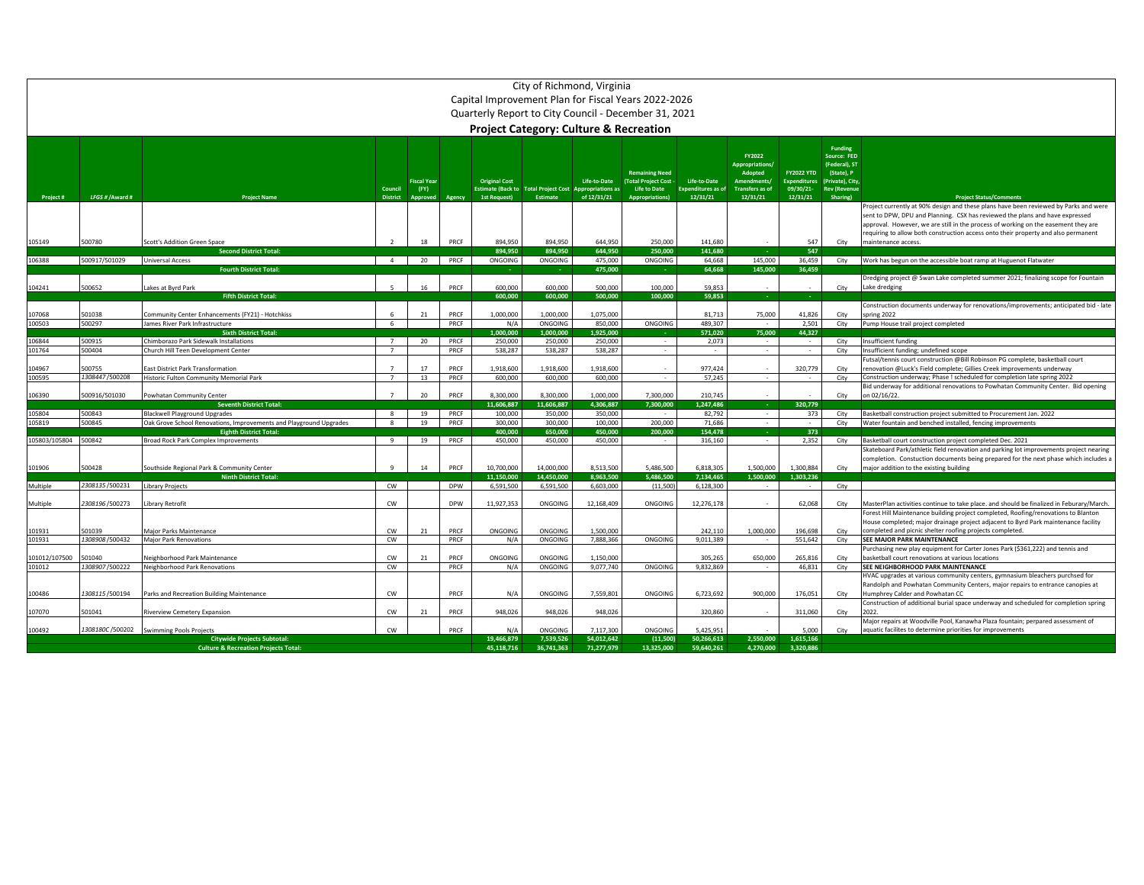|                         | City of Richmond, Virginia<br>Capital Improvement Plan for Fiscal Years 2022-2026<br>Quarterly Report to City Council - December 31, 2021<br><b>Project Category: Culture &amp; Recreation</b> |                                                                                |                            |                                        |              |                                                                  |                                       |                                                         |                                                                                                 |                                                       |                                                                                           |                                                                   |                                                                                                                   |                                                                                                                                                                                                                                                                                                                                                  |
|-------------------------|------------------------------------------------------------------------------------------------------------------------------------------------------------------------------------------------|--------------------------------------------------------------------------------|----------------------------|----------------------------------------|--------------|------------------------------------------------------------------|---------------------------------------|---------------------------------------------------------|-------------------------------------------------------------------------------------------------|-------------------------------------------------------|-------------------------------------------------------------------------------------------|-------------------------------------------------------------------|-------------------------------------------------------------------------------------------------------------------|--------------------------------------------------------------------------------------------------------------------------------------------------------------------------------------------------------------------------------------------------------------------------------------------------------------------------------------------------|
| Project#                | LFGS # / Award #                                                                                                                                                                               | <b>Project Name</b>                                                            | Council<br><b>District</b> | <b>Fiscal Year</b><br>(FY)<br>Approved | Agency       | <b>Original Cost</b><br><b>Estimate (Back to</b><br>1st Request) | <b>Total Project Cost</b><br>Estimate | Life-to-Date<br><b>Appropriations as</b><br>of 12/31/21 | <b>Remaining Need</b><br>(Total Project Cost -<br><b>Life to Date</b><br><b>Appropriations)</b> | Life-to-Date<br><b>Expenditures as of</b><br>12/31/21 | FY2022<br><b>Appropriations/</b><br>Adopted<br>Amendments/<br>Transfers as of<br>12/31/21 | <b>FY2022 YTD</b><br><b>Expenditures</b><br>09/30/21-<br>12/31/21 | <b>Funding</b><br>Source: FED<br>(Federal), ST<br>(State), P<br>Private), City<br><b>Rev (Revenue</b><br>Sharing) | <b>Project Status/Comments</b>                                                                                                                                                                                                                                                                                                                   |
|                         |                                                                                                                                                                                                |                                                                                |                            |                                        |              |                                                                  |                                       |                                                         |                                                                                                 |                                                       |                                                                                           |                                                                   |                                                                                                                   | Project currently at 90% design and these plans have been reviewed by Parks and were<br>sent to DPW, DPU and Planning. CSX has reviewed the plans and have expressed<br>approval. However, we are still in the process of working on the easement they are<br>requiring to allow both construction access onto their property and also permanent |
| 105149                  | 500780                                                                                                                                                                                         | Scott's Addition Green Space<br><b>Second District Total:</b>                  | $\overline{\phantom{a}}$   | 18                                     | PRCF         | 894,950<br>894.950                                               | 894,950<br>894,950                    | 644,950<br>644.950                                      | 250,000<br>250,000                                                                              | 141,680<br>141.680                                    |                                                                                           | 547<br>547                                                        | City                                                                                                              | maintenance access.                                                                                                                                                                                                                                                                                                                              |
| 106388                  | 500917/501029                                                                                                                                                                                  | <b>Universal Access</b>                                                        | 4                          | 20                                     | PRCF         | ONGOING                                                          | ONGOING                               | 475,000                                                 | ONGOING                                                                                         | 64,668                                                | 145,000                                                                                   | 36,459                                                            |                                                                                                                   | City Work has begun on the accessible boat ramp at Huguenot Flatwater                                                                                                                                                                                                                                                                            |
|                         |                                                                                                                                                                                                | <b>Fourth District Total:</b>                                                  |                            |                                        |              |                                                                  | ۰.                                    | 475,000                                                 |                                                                                                 | 64.668                                                | 145.000                                                                                   | 36.459                                                            |                                                                                                                   |                                                                                                                                                                                                                                                                                                                                                  |
|                         |                                                                                                                                                                                                |                                                                                |                            |                                        |              |                                                                  |                                       |                                                         |                                                                                                 |                                                       |                                                                                           |                                                                   |                                                                                                                   | Dredging project @ Swan Lake completed summer 2021; finalizing scope for Fountain                                                                                                                                                                                                                                                                |
| 104241                  | 500652                                                                                                                                                                                         | Lakes at Byrd Park                                                             | 5                          | 16                                     | PRCF         | 600,000<br>600.000                                               | 600,000<br>600.000                    | 500,000<br>500,000                                      | 100,000                                                                                         | 59,853                                                | $\sim$                                                                                    | $\sim$                                                            | City                                                                                                              | Lake dredging                                                                                                                                                                                                                                                                                                                                    |
|                         |                                                                                                                                                                                                | <b>Fifth District Total:</b>                                                   |                            |                                        |              |                                                                  |                                       |                                                         | 100,000                                                                                         | 59.853                                                | - 14                                                                                      | ч.                                                                |                                                                                                                   | Construction documents underway for renovations/improvements; anticipated bid - late                                                                                                                                                                                                                                                             |
| 107068                  | 501038                                                                                                                                                                                         | Community Center Enhancements (FY21) - Hotchkiss                               | 6                          | 21                                     | PRCF         | 1,000,000                                                        | 1.000.000                             | 1,075,000                                               |                                                                                                 | 81,713                                                | 75,000                                                                                    | 41,826                                                            | City                                                                                                              | spring 2022                                                                                                                                                                                                                                                                                                                                      |
| 100503                  | 500297                                                                                                                                                                                         | James River Park Infrastructure                                                | 6                          |                                        | PRCF         | N/A                                                              | ONGOING                               | 850,000                                                 | ONGOING                                                                                         | 489.307                                               |                                                                                           | 2.501                                                             | City                                                                                                              | Pump House trail project completed                                                                                                                                                                                                                                                                                                               |
|                         |                                                                                                                                                                                                | <b>Sixth District Total:</b>                                                   |                            |                                        |              | 1.000.000                                                        | 1.000.000                             | 1.925.000                                               |                                                                                                 | 571,020                                               | 75,000                                                                                    | 44,327                                                            |                                                                                                                   |                                                                                                                                                                                                                                                                                                                                                  |
| 106844                  | 500915                                                                                                                                                                                         | Chimborazo Park Sidewalk Installations                                         | 7                          | 20                                     | PRCF         | 250,000                                                          | 250,000                               | 250,000                                                 | $\sim$                                                                                          | 2,073                                                 | $\sim$                                                                                    | $\sim$                                                            | City                                                                                                              | Insufficient funding                                                                                                                                                                                                                                                                                                                             |
| 101764                  | 500404                                                                                                                                                                                         | Church Hill Teen Development Center                                            | $7^{\circ}$                |                                        | PRCF         | 538,287                                                          | 538,287                               | 538,287                                                 | $\sim$                                                                                          | $\sim$                                                | $\sim$                                                                                    | $\sim$                                                            | City                                                                                                              | Insufficient funding; undefined scope                                                                                                                                                                                                                                                                                                            |
| 104967                  | 500755                                                                                                                                                                                         | <b>East District Park Transformation</b>                                       | $\overline{7}$             | 17                                     | PRCF         | 1,918,600                                                        | 1,918,600                             | 1,918,600                                               |                                                                                                 | 977,424                                               |                                                                                           | 320,779                                                           | City                                                                                                              | Futsal/tennis court construction @Bill Robinson PG complete, basketball court<br>renovation @Luck's Field complete; Gillies Creek improvements underway                                                                                                                                                                                          |
| 100595                  | 1308447/500208                                                                                                                                                                                 | Historic Fulton Community Memorial Park                                        | $\overline{7}$             | 13                                     | PRCF         | 600.000                                                          | 600,000                               | 600,000                                                 | $\sim$                                                                                          | 57,245                                                | $\sim$                                                                                    | $\sim$                                                            | City                                                                                                              | Construction underway; Phase ! scheduled for completion late spring 2022                                                                                                                                                                                                                                                                         |
|                         |                                                                                                                                                                                                |                                                                                |                            |                                        |              |                                                                  |                                       |                                                         |                                                                                                 |                                                       |                                                                                           |                                                                   |                                                                                                                   | Bid underway for additional renovations to Powhatan Community Center. Bid opening                                                                                                                                                                                                                                                                |
| 106390                  | 500916/501030                                                                                                                                                                                  | Powhatan Community Center                                                      | $\overline{7}$             | 20                                     | PRCF         | 8.300.000                                                        | 8.300.000                             | 1.000.000                                               | 7.300.000                                                                                       | 210.745                                               |                                                                                           |                                                                   | City                                                                                                              | on 02/16/22.                                                                                                                                                                                                                                                                                                                                     |
|                         |                                                                                                                                                                                                | <b>Seventh District Total:</b>                                                 |                            |                                        |              | 11.606.887                                                       | 11.606.887                            | 4.306.887                                               | 7.300.000                                                                                       | 1.247.486                                             |                                                                                           | 320.779                                                           |                                                                                                                   |                                                                                                                                                                                                                                                                                                                                                  |
| 105804                  | 500843                                                                                                                                                                                         | <b>Blackwell Playground Upgrades</b>                                           | $\mathbf{g}$               | 19                                     | PRCF         | 100,000                                                          | 350,000                               | 350,000                                                 |                                                                                                 | 82.792                                                |                                                                                           | 373                                                               | City                                                                                                              | Basketball construction project submitted to Procurement Jan. 2022                                                                                                                                                                                                                                                                               |
| 105819                  | 500845                                                                                                                                                                                         | Oak Grove School Renovations, Improvements and Playground Upgrades             | 8                          | 19                                     | PRCF         | 300,000                                                          | 300,000                               | 100,000                                                 | 200,000                                                                                         | 71.686                                                | $\sim$                                                                                    | $\sim$                                                            | City                                                                                                              | Water fountain and benched installed, fencing improvements                                                                                                                                                                                                                                                                                       |
| 105803/105804           | 500842                                                                                                                                                                                         | <b>Eighth District Total:</b><br>Broad Rock Park Complex Improvements          | 9                          | 19                                     | PRCF         | 400.000<br>450,000                                               | 650,000<br>450,000                    | 450,000<br>450,000                                      | 200,000<br>$\sim$                                                                               | 154,478<br>316,160                                    | $\sim$                                                                                    | 373<br>2,352                                                      | City                                                                                                              | Basketball court construction project completed Dec. 2021                                                                                                                                                                                                                                                                                        |
|                         |                                                                                                                                                                                                |                                                                                |                            |                                        |              |                                                                  |                                       |                                                         |                                                                                                 |                                                       |                                                                                           |                                                                   |                                                                                                                   | Skateboard Park/athletic field renovation and parking lot improvements project nearing                                                                                                                                                                                                                                                           |
|                         |                                                                                                                                                                                                |                                                                                |                            |                                        |              |                                                                  |                                       |                                                         |                                                                                                 |                                                       |                                                                                           |                                                                   |                                                                                                                   | completion. Constuction documents being prepared for the next phase which includes a                                                                                                                                                                                                                                                             |
| 101906                  | 500428                                                                                                                                                                                         | Southside Regional Park & Community Center                                     | 9                          | 14                                     | PRCF         | 10,700,000                                                       | 14,000,000                            | 8,513,500                                               | 5,486,500                                                                                       | 6,818,305                                             | 1,500,000                                                                                 | 1,300,884                                                         | City                                                                                                              | major addition to the existing building                                                                                                                                                                                                                                                                                                          |
|                         |                                                                                                                                                                                                | <b>Ninth District Total:</b>                                                   |                            |                                        |              | 11.150.000                                                       | 14,450,000                            | 8,963,500                                               | 5,486,500                                                                                       | 7,134,465                                             | 1,500,000                                                                                 | 1,303,236                                                         |                                                                                                                   |                                                                                                                                                                                                                                                                                                                                                  |
| Multiple                | 2308135/500231                                                                                                                                                                                 | <b>Library Projects</b>                                                        | CW                         |                                        | <b>DPW</b>   | 6,591,500                                                        | 6,591,500                             | 6,603,000                                               | (11,500)                                                                                        | 6,128,300                                             |                                                                                           | $\sim$                                                            | City                                                                                                              |                                                                                                                                                                                                                                                                                                                                                  |
| Multiple                | 2308196/500273                                                                                                                                                                                 | Library Retrofit                                                               | CW                         |                                        | <b>DPW</b>   | 11,927,353                                                       | ONGOING                               | 12,168,409                                              | ONGOING                                                                                         | 12,276,178                                            |                                                                                           | 62,068                                                            | City                                                                                                              | MasterPlan activities continue to take place. and should be finalized in Feburary/March.                                                                                                                                                                                                                                                         |
|                         |                                                                                                                                                                                                |                                                                                |                            |                                        |              |                                                                  |                                       |                                                         |                                                                                                 |                                                       |                                                                                           |                                                                   |                                                                                                                   | Forest Hill Maintenance building project completed, Roofing/renovations to Blanton                                                                                                                                                                                                                                                               |
|                         |                                                                                                                                                                                                |                                                                                |                            |                                        |              |                                                                  |                                       |                                                         |                                                                                                 |                                                       |                                                                                           |                                                                   |                                                                                                                   | House completed; major drainage project adjacent to Byrd Park maintenance facility                                                                                                                                                                                                                                                               |
| 101931                  | 501039                                                                                                                                                                                         | <b>Maior Parks Maintenance</b>                                                 | <b>CW</b>                  | 21                                     | PRCF         | ONGOING                                                          | ONGOING                               | 1.500.000                                               |                                                                                                 | 242.110                                               | 1.000.000                                                                                 | 196.698                                                           | City                                                                                                              | completed and picnic shelter roofing projects completed.                                                                                                                                                                                                                                                                                         |
| 101931                  | 1308908 / 500432                                                                                                                                                                               | <b>Major Park Renovations</b>                                                  | CW                         |                                        | PRCF         | N/A                                                              | ONGOING                               | 7.888.366                                               | ONGOING                                                                                         | 9,011,389                                             |                                                                                           | 551,642                                                           | City                                                                                                              | <b>SEE MAJOR PARK MAINTENANCE</b>                                                                                                                                                                                                                                                                                                                |
|                         |                                                                                                                                                                                                |                                                                                |                            |                                        |              |                                                                  |                                       |                                                         |                                                                                                 |                                                       |                                                                                           |                                                                   |                                                                                                                   | Purchasing new play equipment for Carter Jones Park (\$361,222) and tennis and                                                                                                                                                                                                                                                                   |
| 101012/107500<br>101012 | 501040<br>1308907/500222                                                                                                                                                                       | Neighborhood Park Maintenance<br>Neighborhood Park Renovations                 | CW<br>cw                   | 21                                     | PRCF<br>PRCF | ONGOING<br>N/A                                                   | ONGOING<br>ONGOING                    | 1,150,000<br>9,077,740                                  | ONGOING                                                                                         | 305,265<br>9,832,869                                  | 650,000<br>$\sim$                                                                         | 265,816<br>46,831                                                 | City<br>City                                                                                                      | basketball court renovations at various locations<br>SEE NEIGHBORHOOD PARK MAINTENANCE                                                                                                                                                                                                                                                           |
|                         |                                                                                                                                                                                                |                                                                                |                            |                                        |              |                                                                  |                                       |                                                         |                                                                                                 |                                                       |                                                                                           |                                                                   |                                                                                                                   | HVAC upgrades at various community centers, gymnasium bleachers purchsed for                                                                                                                                                                                                                                                                     |
| 100486                  | 1308115/500194                                                                                                                                                                                 | Parks and Recreation Building Maintenance                                      | CW                         |                                        | PRCF         | N/A                                                              | ONGOING                               | 7,559,801                                               | ONGOING                                                                                         | 6,723,692                                             | 900,000                                                                                   | 176,051                                                           | City                                                                                                              | Randolph and Powhatan Community Centers, major repairs to entrance canopies at<br>Humphrey Calder and Powhatan CC                                                                                                                                                                                                                                |
|                         |                                                                                                                                                                                                |                                                                                |                            |                                        |              |                                                                  |                                       |                                                         |                                                                                                 |                                                       |                                                                                           |                                                                   |                                                                                                                   | Construction of additional burial space underway and scheduled for completion spring                                                                                                                                                                                                                                                             |
| 107070                  | 501041                                                                                                                                                                                         | <b>Riverview Cemetery Expansion</b>                                            | CW                         | 21                                     | PRCF         | 948.026                                                          | 948,026                               | 948.026                                                 |                                                                                                 | 320,860                                               |                                                                                           | 311,060                                                           | City                                                                                                              | 2022                                                                                                                                                                                                                                                                                                                                             |
|                         |                                                                                                                                                                                                |                                                                                |                            |                                        |              |                                                                  |                                       |                                                         |                                                                                                 |                                                       |                                                                                           |                                                                   |                                                                                                                   | Major repairs at Woodville Pool, Kanawha Plaza fountain; perpared assessment of                                                                                                                                                                                                                                                                  |
| 100492                  |                                                                                                                                                                                                | 1308180C /500202 Swimming Pools Projects<br><b>Citywide Projects Subtotal:</b> | CW                         |                                        | PRCF         | N/A<br>19,466.879                                                | ONGOING<br>7.539.526                  | 7.117.300<br>54.012.642                                 | ONGOING<br>(11.500)                                                                             | 5.425.951<br>50.266.613                               | 2.550.000                                                                                 | 5.000<br>1.615.166                                                | City                                                                                                              | aquatic facilites to determine priorities for improvements                                                                                                                                                                                                                                                                                       |
|                         |                                                                                                                                                                                                | <b>Culture &amp; Recreation Projects Total:</b>                                |                            |                                        |              | 45.118.716                                                       | 36,741,363                            | 71,277,979                                              | 13,325,000                                                                                      | 59,640,261                                            | 4,270,000                                                                                 | 3.320.886                                                         |                                                                                                                   |                                                                                                                                                                                                                                                                                                                                                  |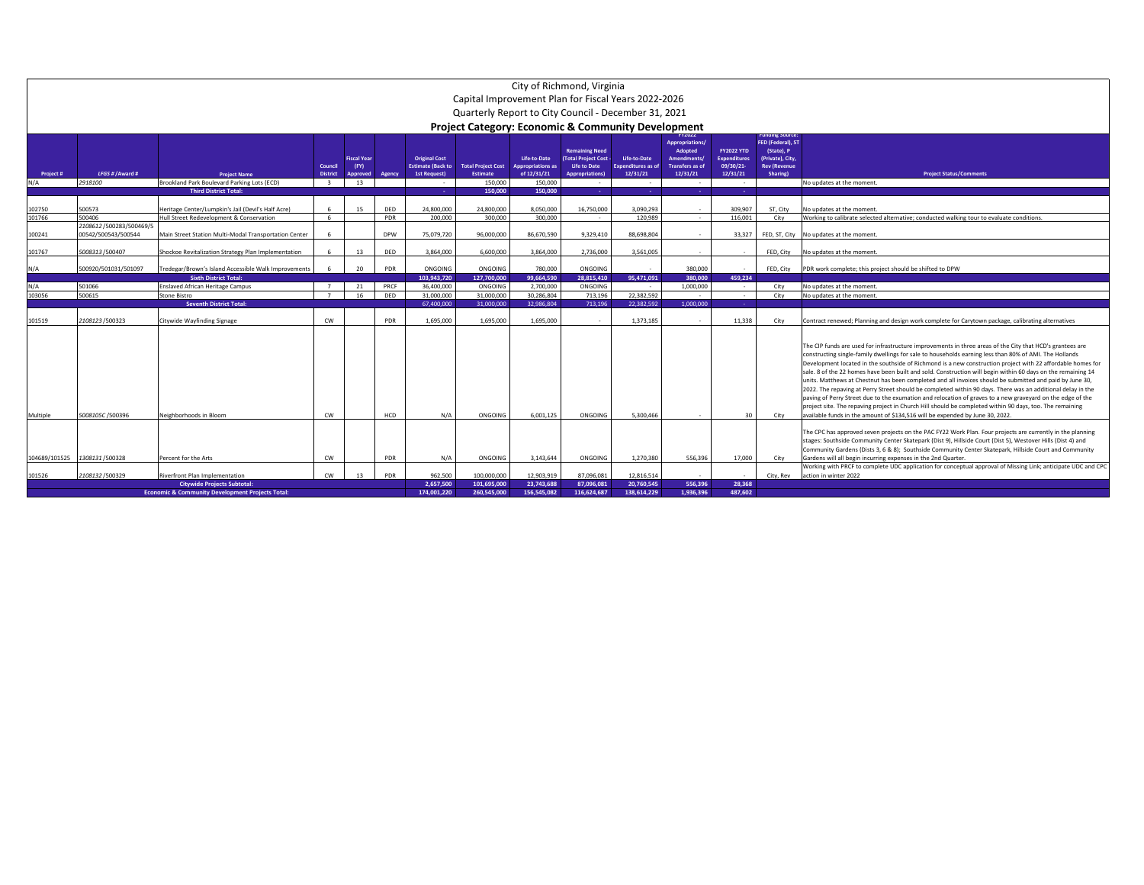|                  |                                             |                                                                                                             |                                                       |                                              |            |                                                                                   | Capital Improvement Plan for Fiscal Years 2022-2026<br>Quarterly Report to City Council - December 31, 2021 | City of Richmond, Virginia                                         |                                                                                                            |                                                                 |                                                                                                                   |                                                                             |                                                                                                               |                                                                                                                                                                                                                                                                                                                                                                                                                                                                                                                                                                                                                                                                                                                                                                                                                                                                                                                                                                                          |
|------------------|---------------------------------------------|-------------------------------------------------------------------------------------------------------------|-------------------------------------------------------|----------------------------------------------|------------|-----------------------------------------------------------------------------------|-------------------------------------------------------------------------------------------------------------|--------------------------------------------------------------------|------------------------------------------------------------------------------------------------------------|-----------------------------------------------------------------|-------------------------------------------------------------------------------------------------------------------|-----------------------------------------------------------------------------|---------------------------------------------------------------------------------------------------------------|------------------------------------------------------------------------------------------------------------------------------------------------------------------------------------------------------------------------------------------------------------------------------------------------------------------------------------------------------------------------------------------------------------------------------------------------------------------------------------------------------------------------------------------------------------------------------------------------------------------------------------------------------------------------------------------------------------------------------------------------------------------------------------------------------------------------------------------------------------------------------------------------------------------------------------------------------------------------------------------|
|                  |                                             |                                                                                                             |                                                       |                                              |            |                                                                                   | <b>Project Category: Economic &amp; Community Development</b>                                               |                                                                    |                                                                                                            |                                                                 |                                                                                                                   |                                                                             |                                                                                                               |                                                                                                                                                                                                                                                                                                                                                                                                                                                                                                                                                                                                                                                                                                                                                                                                                                                                                                                                                                                          |
| Project #<br>N/A | LFGS # / Award #<br>2918100                 | <b>Project Name</b><br>Brookland Park Boulevard Parking Lots (ECD)                                          | Council<br><b>District</b><br>$\overline{\mathbf{3}}$ | <b>Fiscal Year</b><br>(FY)<br>Approved<br>13 | Agency     | <b>Original Cost</b><br><b>Estimate (Back to</b><br><b>1st Request)</b><br>$\sim$ | <b>Total Project Cost</b><br><b>Estimate</b><br>150,000                                                     | Life-to-Date<br><b>Appropriations as</b><br>of 12/31/21<br>150,000 | <b>Remaining Need</b><br>(Total Project Cost -<br><b>Life to Date</b><br><b>Appropriations</b> )<br>$\sim$ | Life-to-Date<br><b>Expenditures as of</b><br>12/31/21<br>$\sim$ | Appropriations/<br>Adopted<br><b>Amendments</b><br><b>Transfers as of</b><br>12/31/21<br>$\overline{\phantom{a}}$ | <b>FY2022 YTD</b><br><b>Expenditures</b><br>09/30/21-<br>12/31/21<br>$\sim$ | unaing Sourc<br><b>FED (Federal), ST</b><br>(State), P<br>(Private), City,<br><b>Rev (Revenue</b><br>Sharing) | <b>Project Status/Comments</b><br>No updates at the moment                                                                                                                                                                                                                                                                                                                                                                                                                                                                                                                                                                                                                                                                                                                                                                                                                                                                                                                               |
|                  |                                             | <b>Third District Total:</b>                                                                                |                                                       |                                              |            | 14.                                                                               | 150,000                                                                                                     | 150,000                                                            | <b>Card</b>                                                                                                | n.                                                              | 14                                                                                                                | - 1                                                                         |                                                                                                               |                                                                                                                                                                                                                                                                                                                                                                                                                                                                                                                                                                                                                                                                                                                                                                                                                                                                                                                                                                                          |
| 102750<br>101766 | 500573<br>500406<br>2108612/500283/500469/5 | Heritage Center/Lumpkin's Jail (Devil's Half Acre)<br>Hull Street Redevelopment & Conservation              | 6<br>6                                                | 15                                           | DED<br>PDR | 24,800,000<br>200,000                                                             | 24.800.000<br>300,000                                                                                       | 8.050.000<br>300,000                                               | 16,750,000<br>$\sim$                                                                                       | 3.090.293<br>120.989                                            | $\sim$<br>$\sim$                                                                                                  | 309.907<br>116.001                                                          | ST. City<br>City                                                                                              | No updates at the moment<br>Working to calibrate selected alternative; conducted walking tour to evaluate conditions.                                                                                                                                                                                                                                                                                                                                                                                                                                                                                                                                                                                                                                                                                                                                                                                                                                                                    |
| 100241           | 00542/500543/500544                         | Main Street Station Multi-Modal Transportation Center                                                       | 6                                                     |                                              | <b>DPW</b> | 75.079.720                                                                        | 96.000.000                                                                                                  | 86.670.590                                                         | 9.329.410                                                                                                  | 88.698.804                                                      | $\sim$                                                                                                            | 33.327                                                                      |                                                                                                               | FED, ST, City No updates at the moment                                                                                                                                                                                                                                                                                                                                                                                                                                                                                                                                                                                                                                                                                                                                                                                                                                                                                                                                                   |
| 101767<br>N/A    | 5008313 /500407<br>500920/501031/501097     | Shockoe Revitalization Strategy Plan Implementation<br>Tredegar/Brown's Island Accessible Walk Improvements | 6                                                     | 13<br>20                                     | DED<br>PDR | 3.864.000<br>ONGOING                                                              | 6.600.000<br>ONGOING                                                                                        | 3.864.000<br>780,000                                               | 2.736.000<br>ONGOING                                                                                       | 3,561,005                                                       | $\sim$<br>380,000                                                                                                 | $\sim$                                                                      | FED. City<br>FED, City                                                                                        | No updates at the moment<br>PDR work complete; this project should be shifted to DPW                                                                                                                                                                                                                                                                                                                                                                                                                                                                                                                                                                                                                                                                                                                                                                                                                                                                                                     |
| N/A              | 501066                                      | <b>Sixth District Total:</b><br><b>Enslaved African Heritage Campus</b>                                     | $\overline{7}$                                        | 21                                           | PRCF       | 103.943.720<br>36,400,000                                                         | 127.700.000<br>ONGOING                                                                                      | 99.664.590<br>2,700,000                                            | 28.815.410<br>ONGOING                                                                                      | 95.471.091<br>$\sim$                                            | 380,000<br>1,000,000                                                                                              | 459.234<br>$\sim$                                                           | City                                                                                                          | No updates at the moment.                                                                                                                                                                                                                                                                                                                                                                                                                                                                                                                                                                                                                                                                                                                                                                                                                                                                                                                                                                |
| 103056           | 500615                                      | Stone Bistro                                                                                                | $\overline{7}$                                        | 16                                           | DED        | 31.000.000                                                                        | 31,000,000                                                                                                  | 30.286.804                                                         | 713.196                                                                                                    | 22.382.592                                                      | $\sim$                                                                                                            | $\sim$                                                                      | City                                                                                                          | No updates at the moment                                                                                                                                                                                                                                                                                                                                                                                                                                                                                                                                                                                                                                                                                                                                                                                                                                                                                                                                                                 |
|                  |                                             | <b>Seventh District Total</b>                                                                               |                                                       |                                              |            | 67.400.000                                                                        | 31.000.000                                                                                                  | 32.986.804                                                         | 713.196                                                                                                    | 22.382.592                                                      | 1.000.000                                                                                                         | ۰.                                                                          |                                                                                                               |                                                                                                                                                                                                                                                                                                                                                                                                                                                                                                                                                                                                                                                                                                                                                                                                                                                                                                                                                                                          |
| 101519           | 2108123/500323                              | Citywide Wayfinding Signage                                                                                 | CW                                                    |                                              | PDR        | 1.695.000                                                                         | 1.695.000                                                                                                   | 1.695.000                                                          | $\sim$                                                                                                     | 1.373.185                                                       | $\sim$                                                                                                            | 11.338                                                                      | City                                                                                                          | Contract renewed; Planning and design work complete for Carytown package, calibrating alternatives                                                                                                                                                                                                                                                                                                                                                                                                                                                                                                                                                                                                                                                                                                                                                                                                                                                                                       |
| Multiple         | 5008105C /500396                            | Neighborhoods in Bloom                                                                                      | <b>CW</b>                                             |                                              | <b>HCD</b> | N/A                                                                               | ONGOING                                                                                                     | 6.001.125                                                          | ONGOING                                                                                                    | 5,300,466                                                       | $\overline{\phantom{a}}$                                                                                          | 30                                                                          | City                                                                                                          | The CIP funds are used for infrastructure improvements in three areas of the City that HCD's grantees are<br>constructing single-family dwellings for sale to households earning less than 80% of AMI. The Hollands<br>Development located in the southside of Richmond is a new construction project with 22 affordable homes for<br>sale. 8 of the 22 homes have been built and sold. Construction will begin within 60 days on the remaining 14<br>units. Matthews at Chestnut has been completed and all invoices should be submitted and paid by June 30,<br>2022. The repaving at Perry Street should be completed within 90 days. There was an additional delay in the<br>paving of Perry Street due to the exumation and relocation of graves to a new graveyard on the edge of the<br>project site. The repaving project in Church Hill should be completed within 90 days, too. The remaining<br>available funds in the amount of \$134,516 will be expended by June 30, 2022. |
|                  |                                             |                                                                                                             |                                                       |                                              |            |                                                                                   |                                                                                                             |                                                                    |                                                                                                            |                                                                 |                                                                                                                   |                                                                             |                                                                                                               | The CPC has approved seven projects on the PAC FY22 Work Plan. Four projects are currently in the planning<br>stages: Southside Community Center Skatepark (Dist 9), Hillside Court (Dist 5), Westover Hills (Dist 4) and<br>Community Gardens (Dists 3, 6 & 8); Southside Community Center Skatepark, Hillside Court and Community                                                                                                                                                                                                                                                                                                                                                                                                                                                                                                                                                                                                                                                      |
| 104689/101525    | 1308131/500328                              | Percent for the Arts                                                                                        | <b>CW</b>                                             |                                              | PDR        | N/A                                                                               | ONGOING                                                                                                     | 3.143.644                                                          | ONGOING                                                                                                    | 1.270.380                                                       | 556.396                                                                                                           | 17.000                                                                      | City                                                                                                          | Gardens will all begin incurring expenses in the 2nd Quarter.<br>Working with PRCF to complete UDC application for conceptual approval of Missing Link; anticipate UDC and CPC                                                                                                                                                                                                                                                                                                                                                                                                                                                                                                                                                                                                                                                                                                                                                                                                           |
| 101526           | 2108132/500329                              | <b>Riverfront Plan Implementation</b>                                                                       | CW                                                    | 13                                           | PDR        | 962,500                                                                           | 100,000,000                                                                                                 | 12.903.919                                                         | 87.096.081                                                                                                 | 12.816.514                                                      | ٠.                                                                                                                |                                                                             | City, Rev                                                                                                     | action in winter 2022                                                                                                                                                                                                                                                                                                                                                                                                                                                                                                                                                                                                                                                                                                                                                                                                                                                                                                                                                                    |
|                  |                                             | <b>Citywide Projects Subtotal:</b><br><b>Economic &amp; Community Development Projects Total:</b>           |                                                       |                                              |            | 2.657.500<br>174.001.220                                                          | 101.695.000<br>260.545.000                                                                                  | 23.743.688<br>156.545.082                                          | 87.096.081<br>116.624.687                                                                                  | 20,760,545<br>138.614.229                                       | 556.396<br>1.936.396                                                                                              | 28.368<br>487.602                                                           |                                                                                                               |                                                                                                                                                                                                                                                                                                                                                                                                                                                                                                                                                                                                                                                                                                                                                                                                                                                                                                                                                                                          |
|                  |                                             |                                                                                                             |                                                       |                                              |            |                                                                                   |                                                                                                             |                                                                    |                                                                                                            |                                                                 |                                                                                                                   |                                                                             |                                                                                                               |                                                                                                                                                                                                                                                                                                                                                                                                                                                                                                                                                                                                                                                                                                                                                                                                                                                                                                                                                                                          |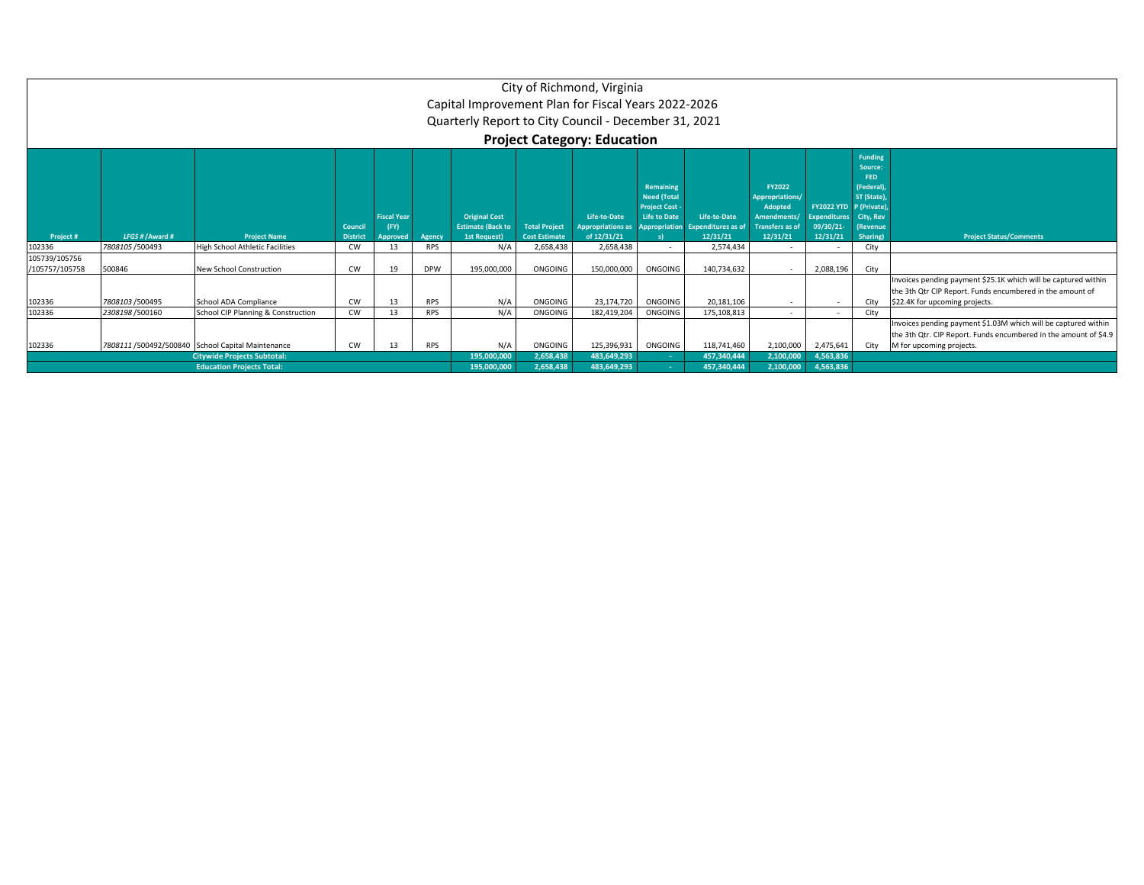|                                 |                  |                                                   |                            |                                        |            | Capital Improvement Plan for Fiscal Years 2022-2026<br>Quarterly Report to City Council - December 31, 2021 |                                              | City of Richmond, Virginia<br><b>Project Category: Education</b> |                                                                                 |                                                              |                                                                                                        |                                                                                                                                                                |                                                                                              |                                                                                                                                                               |
|---------------------------------|------------------|---------------------------------------------------|----------------------------|----------------------------------------|------------|-------------------------------------------------------------------------------------------------------------|----------------------------------------------|------------------------------------------------------------------|---------------------------------------------------------------------------------|--------------------------------------------------------------|--------------------------------------------------------------------------------------------------------|----------------------------------------------------------------------------------------------------------------------------------------------------------------|----------------------------------------------------------------------------------------------|---------------------------------------------------------------------------------------------------------------------------------------------------------------|
| Project #                       | LFGS # / Award # | <b>Project Name</b>                               | Council<br><b>District</b> | <b>Fiscal Year</b><br>(FY)<br>Approved | Agency     | <b>Original Cost</b><br><b>Estimate (Back to</b><br>1st Request)                                            | <b>Total Project</b><br><b>Cost Estimate</b> | Life-to-Date<br><b>Appropriations a</b><br>of 12/31/21           | Remaining<br><b>Need (Total</b><br><b>Project Cost -</b><br><b>Life to Date</b> | Life-to-Date<br>Appropriation Expenditures as of<br>12/31/21 | FY2022<br>Appropriations/<br><b>Adopted</b><br><b>Amendments</b><br><b>Transfers as of</b><br>12/31/21 | FY2022 YTD P (Private)<br><b>Expenditures</b> City, Rev<br>09/30/21-<br>12/31/21                                                                               | <b>Funding</b><br>Source:<br>FED.<br>(Federal)<br>ST (State)<br><i>(Revenue)</i><br>Sharing) | <b>Project Status/Comments</b>                                                                                                                                |
| 102336                          | 7808105 / 500493 | <b>High School Athletic Facilities</b>            | CW                         | 13                                     | <b>RPS</b> | N/A                                                                                                         | 2,658,438                                    | 2,658,438                                                        | <b>A</b>                                                                        | 2,574,434                                                    | $\sim$                                                                                                 |                                                                                                                                                                | City                                                                                         |                                                                                                                                                               |
| 105739/105756<br>/105757/105758 | 500846           | <b>New School Construction</b>                    | <b>CW</b>                  | 19                                     | <b>DPW</b> | 195,000,000                                                                                                 | ONGOING                                      | 150,000,000                                                      | ONGOING                                                                         | 140,734,632                                                  | <b>.</b>                                                                                               | 2,088,196                                                                                                                                                      | City                                                                                         |                                                                                                                                                               |
| 102336                          | 7808103 /500495  | School ADA Compliance                             | <b>CW</b>                  | 13                                     | <b>RPS</b> | N/A                                                                                                         | ONGOING                                      | 23,174,720                                                       | ONGOING                                                                         | 20,181,106                                                   | ۰.                                                                                                     |                                                                                                                                                                | City                                                                                         | Invoices pending payment \$25.1K which will be captured within<br>the 3th Qtr CIP Report. Funds encumbered in the amount of<br>\$22.4K for upcoming projects. |
| 102336                          | 2308198 / 500160 | School CIP Planning & Construction                | CW                         | 13                                     | <b>RPS</b> | N/A                                                                                                         | ONGOING                                      | 182,419,204                                                      | ONGOING                                                                         | 175,108,813                                                  | <b>.</b>                                                                                               |                                                                                                                                                                | City                                                                                         |                                                                                                                                                               |
| 102336                          |                  | 7808111 /500492/500840 School Capital Maintenance | <b>RPS</b>                 | N/A                                    | ONGOING    | 125,396,931                                                                                                 | ONGOING                                      | 118,741,460                                                      | 2,100,000                                                                       | 2,475,641                                                    | City                                                                                                   | Invoices pending payment \$1.03M which will be captured within<br>the 3th Qtr. CIP Report. Funds encumbered in the amount of \$4.9<br>M for upcoming projects. |                                                                                              |                                                                                                                                                               |
|                                 |                  | <b>Citywide Projects Subtotal:</b>                |                            | 195,000,000                            | 2,658,438  | 483,649,293                                                                                                 |                                              | 457,340,444                                                      | 2,100,000                                                                       | 4,563,836                                                    |                                                                                                        |                                                                                                                                                                |                                                                                              |                                                                                                                                                               |
|                                 |                  | <b>Education Projects Total:</b>                  |                            |                                        |            | 195,000,000                                                                                                 | 2,658,438                                    | 483,649,293                                                      |                                                                                 | 457,340,444                                                  | 2,100,000                                                                                              | 4,563,836                                                                                                                                                      |                                                                                              |                                                                                                                                                               |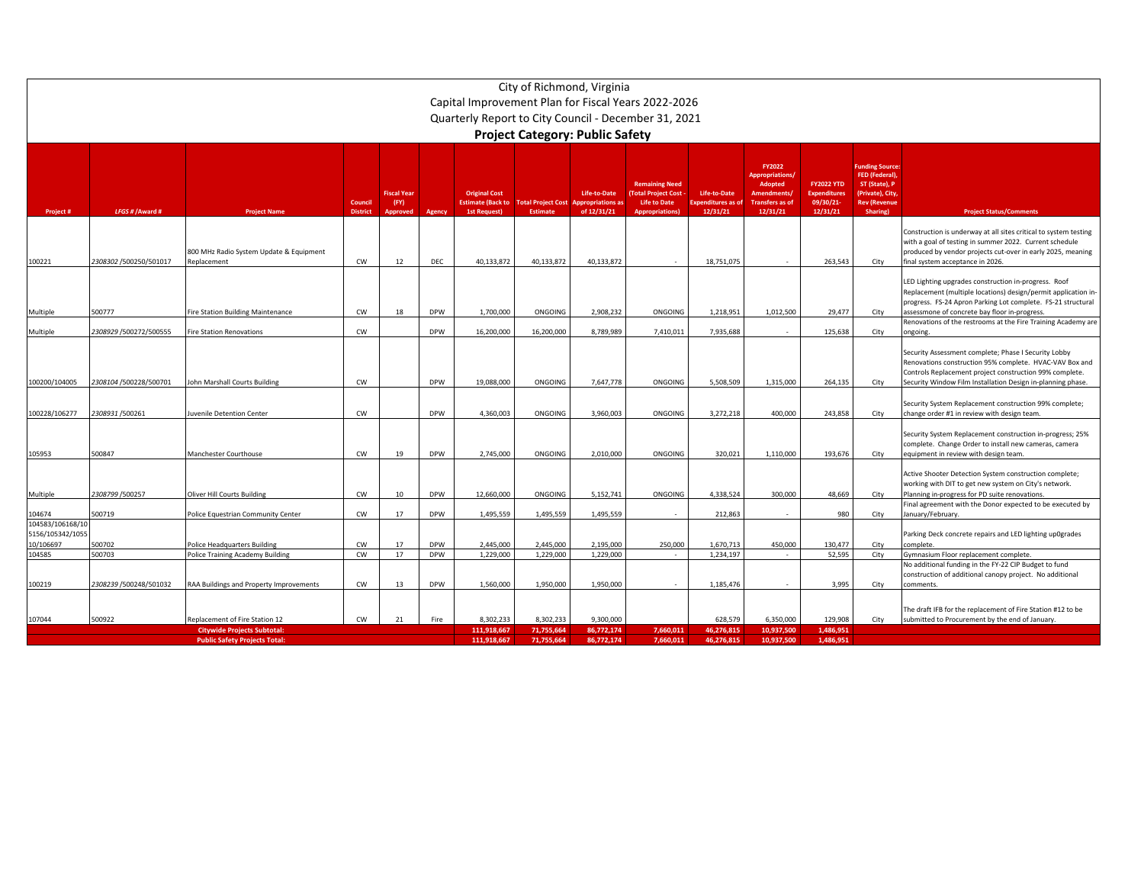|                                                   |                                                     |                                                                      |                            |                                        |            |                                                                         |                                                               | City of Richmond, Virginia             |                                                                                                       |                                               |                                                                                                              |                                                                   |                                                                                                                        |                                                                                                                                                                                                                                           |
|---------------------------------------------------|-----------------------------------------------------|----------------------------------------------------------------------|----------------------------|----------------------------------------|------------|-------------------------------------------------------------------------|---------------------------------------------------------------|----------------------------------------|-------------------------------------------------------------------------------------------------------|-----------------------------------------------|--------------------------------------------------------------------------------------------------------------|-------------------------------------------------------------------|------------------------------------------------------------------------------------------------------------------------|-------------------------------------------------------------------------------------------------------------------------------------------------------------------------------------------------------------------------------------------|
|                                                   | Capital Improvement Plan for Fiscal Years 2022-2026 |                                                                      |                            |                                        |            |                                                                         |                                                               |                                        |                                                                                                       |                                               |                                                                                                              |                                                                   |                                                                                                                        |                                                                                                                                                                                                                                           |
|                                                   |                                                     |                                                                      |                            |                                        |            |                                                                         |                                                               |                                        | Quarterly Report to City Council - December 31, 2021                                                  |                                               |                                                                                                              |                                                                   |                                                                                                                        |                                                                                                                                                                                                                                           |
|                                                   |                                                     |                                                                      |                            |                                        |            |                                                                         |                                                               | <b>Project Category: Public Safety</b> |                                                                                                       |                                               |                                                                                                              |                                                                   |                                                                                                                        |                                                                                                                                                                                                                                           |
|                                                   |                                                     |                                                                      |                            |                                        |            |                                                                         |                                                               |                                        |                                                                                                       |                                               |                                                                                                              |                                                                   |                                                                                                                        |                                                                                                                                                                                                                                           |
| Project#                                          | LFGS # / Award #                                    | <b>Project Name</b>                                                  | Council<br><b>District</b> | <b>Fiscal Year</b><br>(FY)<br>Approved | Agency     | <b>Original Cost</b><br><b>Estimate (Back to</b><br><b>1st Request)</b> | <b>Total Project Cost Appropriations a</b><br><b>Estimate</b> | Life-to-Date<br>of 12/31/21            | <b>Remaining Need</b><br><b>(Total Project Cost)</b><br><b>Life to Date</b><br><b>Appropriations)</b> | Life-to-Date<br>xpenditures as of<br>12/31/21 | <b>FY2022</b><br><b>Appropriations</b><br>Adopted<br><b>Amendments</b><br><b>Transfers as of</b><br>12/31/21 | <b>FY2022 YTD</b><br><b>Expenditures</b><br>09/30/21-<br>12/31/21 | <b>Funding Source:</b><br><b>FED (Federal)</b><br>ST (State), P<br>(Private), City,<br><b>Rev (Revenue</b><br>Sharing) | <b>Project Status/Comments</b>                                                                                                                                                                                                            |
| 100221                                            | 2308302 /500250/501017                              | 800 MHz Radio System Update & Equipment<br>Replacement               | CW                         | 12                                     | DEC        | 40,133,872                                                              | 40,133,872                                                    | 40,133,872                             |                                                                                                       | 18,751,075                                    |                                                                                                              | 263,543                                                           | City                                                                                                                   | Construction is underway at all sites critical to system testing<br>with a goal of testing in summer 2022. Current schedule<br>produced by vendor projects cut-over in early 2025, meaning<br>final system acceptance in 2026.            |
| Multiple                                          | 500777                                              | ire Station Building Maintenance                                     | CW                         | 18                                     | <b>DPW</b> | 1,700,000                                                               | ONGOING                                                       | 2,908,232                              | ONGOING                                                                                               | 1,218,951                                     | 1,012,500                                                                                                    | 29,477                                                            | City                                                                                                                   | LED Lighting upgrades construction in-progress. Roof<br>Replacement (multiple locations) design/permit application in-<br>progress. FS-24 Apron Parking Lot complete. FS-21 structural<br>assessmone of concrete bay floor in-progress.   |
| Multiple                                          | 2308929 /500272/500555                              | ire Station Renovations                                              | CW                         |                                        | <b>DPW</b> | 16,200,000                                                              | 16,200,000                                                    | 8,789,989                              | 7,410,011                                                                                             | 7,935,688                                     |                                                                                                              | 125,638                                                           | City                                                                                                                   | Renovations of the restrooms at the Fire Training Academy are<br>ongoing.                                                                                                                                                                 |
| 100200/104005                                     | 2308104/500228/500701                               | ohn Marshall Courts Building                                         | CW                         |                                        | <b>DPW</b> | 19,088,000                                                              | ONGOING                                                       | 7,647,778                              | ONGOING                                                                                               | 5,508,509                                     | 1,315,000                                                                                                    | 264,135                                                           | City                                                                                                                   | Security Assessment complete; Phase I Security Lobby<br>Renovations construction 95% complete. HVAC-VAV Box and<br>Controls Replacement project construction 99% complete.<br>Security Window Film Installation Design in-planning phase. |
| 100228/106277                                     | 2308931/500261                                      | <b>Iuvenile Detention Center</b>                                     | cw                         |                                        | <b>DPW</b> | 4,360,003                                                               | ONGOING                                                       | 3,960,003                              | ONGOING                                                                                               | 3,272,218                                     | 400,000                                                                                                      | 243,858                                                           | City                                                                                                                   | Security System Replacement construction 99% complete;<br>change order #1 in review with design team.                                                                                                                                     |
| 105953                                            | 500847                                              | Manchester Courthouse                                                | CW                         | 19                                     | <b>DPW</b> | 2,745,000                                                               | ONGOING                                                       | 2,010,000                              | ONGOING                                                                                               | 320,021                                       | 1,110,000                                                                                                    | 193,676                                                           | City                                                                                                                   | Security System Replacement construction in-progress; 25%<br>complete. Change Order to install new cameras, camera<br>equipment in review with design team.                                                                               |
| Multiple                                          | 2308799 / 500257                                    | Oliver Hill Courts Building                                          | CW                         | 10                                     | <b>DPW</b> | 12,660,000                                                              | ONGOING                                                       | 5,152,741                              | ONGOING                                                                                               | 4,338,524                                     | 300,000                                                                                                      | 48,669                                                            | City                                                                                                                   | Active Shooter Detection System construction complete;<br>working with DIT to get new system on City's network.<br>Planning in-progress for PD suite renovations.                                                                         |
| 104674                                            | 500719                                              | Police Equestrian Community Center                                   | <b>CW</b>                  | 17                                     | <b>DPW</b> | 1,495,559                                                               | 1.495.559                                                     | 1,495,559                              |                                                                                                       | 212,863                                       |                                                                                                              | 980                                                               | City                                                                                                                   | Final agreement with the Donor expected to be executed by<br>January/February.                                                                                                                                                            |
| 104583/106168/10<br>5156/105342/1055<br>10/106697 | 500702                                              | Police Headquarters Building                                         | CW                         | 17                                     | <b>DPW</b> | 2.445.000                                                               | 2.445.000                                                     | 2,195,000                              | 250,000                                                                                               | 1,670,713                                     | 450,000                                                                                                      | 130.477                                                           | City                                                                                                                   | Parking Deck concrete repairs and LED lighting up0grades<br>complete.                                                                                                                                                                     |
| 104585                                            | 500703                                              | <b>Police Training Academy Building</b>                              | CW                         | 17                                     | <b>DPW</b> | 1,229,000                                                               | 1,229,000                                                     | 1,229,000                              | $\sim$                                                                                                | 1.234.197                                     |                                                                                                              | 52,595                                                            | City                                                                                                                   | Gymnasium Floor replacement complete.                                                                                                                                                                                                     |
| 100219                                            | 2308239 /500248/501032                              | RAA Buildings and Property Improvements                              | cw                         | 13                                     | <b>DPW</b> | 1,560,000                                                               | 1,950,000                                                     | 1,950,000                              |                                                                                                       | 1,185,476                                     |                                                                                                              | 3,995                                                             | City                                                                                                                   | No additional funding in the FY-22 CIP Budget to fund<br>construction of additional canopy project. No additional<br>omments.                                                                                                             |
| 107044                                            | 500922                                              | Replacement of Fire Station 12<br><b>Citywide Projects Subtotal:</b> | <b>CW</b>                  | 21                                     | Fire       | 8.302.233<br>111,918,667                                                | 8.302.233<br>71,755,664                                       | 9,300,000<br>86,772,174                | 7,660,011                                                                                             | 628.579<br>46,276,815                         | 6.350.000<br>10,937,500                                                                                      | 129.908<br>1,486,951                                              | City                                                                                                                   | The draft IFB for the replacement of Fire Station #12 to be<br>submitted to Procurement by the end of January.                                                                                                                            |
|                                                   |                                                     |                                                                      | 111.918.667                | 71.755.664                             | 86,772,174 | 7.660.011                                                               | 46.276.815                                                    | 10.937.500                             | 1.486.951                                                                                             |                                               |                                                                                                              |                                                                   |                                                                                                                        |                                                                                                                                                                                                                                           |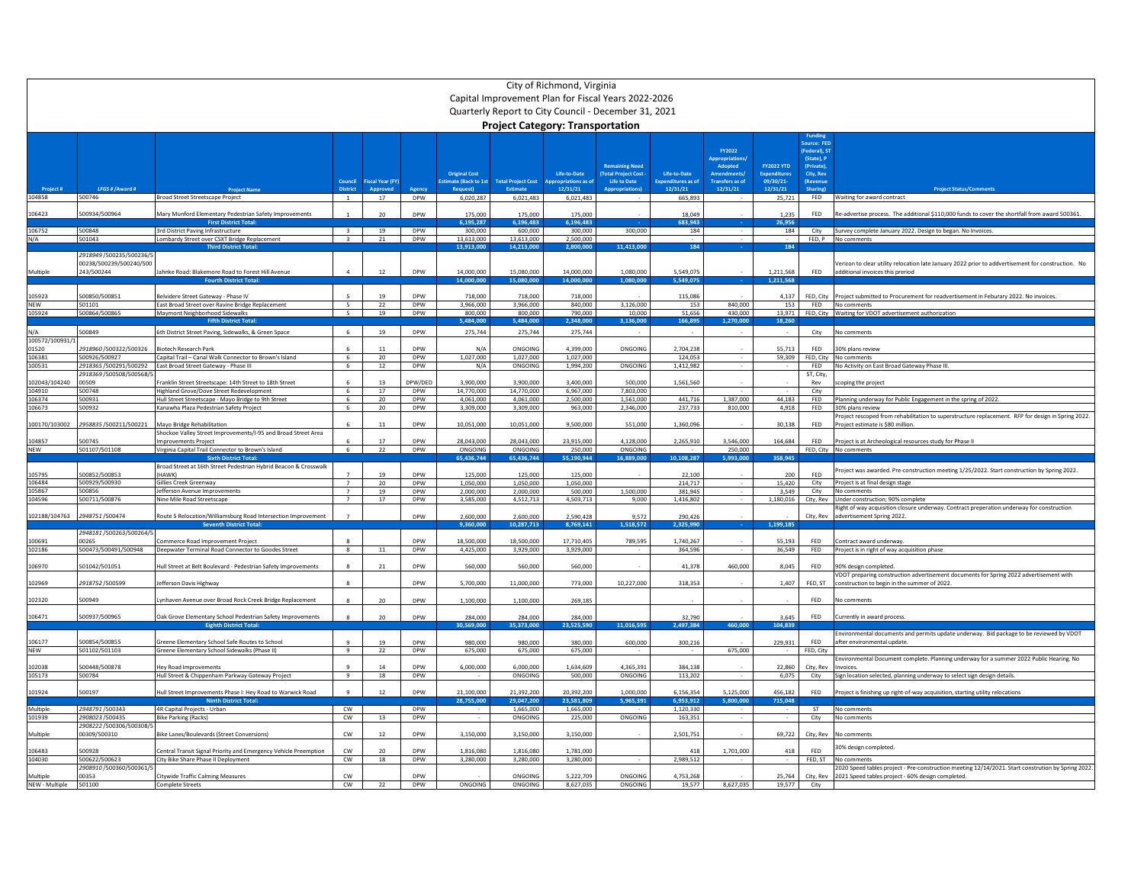|                            | City of Richmond, Virginia<br>Capital Improvement Plan for Fiscal Years 2022-2026<br>Quarterly Report to City Council - December 31, 2021 |                                                                                                     |                                  |                         |                          |                                                                 |                                         |                          |                                                                    |                                               |                                                                                         |                                                                   |                                                                   |                                                                                                                                       |
|----------------------------|-------------------------------------------------------------------------------------------------------------------------------------------|-----------------------------------------------------------------------------------------------------|----------------------------------|-------------------------|--------------------------|-----------------------------------------------------------------|-----------------------------------------|--------------------------|--------------------------------------------------------------------|-----------------------------------------------|-----------------------------------------------------------------------------------------|-------------------------------------------------------------------|-------------------------------------------------------------------|---------------------------------------------------------------------------------------------------------------------------------------|
|                            |                                                                                                                                           |                                                                                                     |                                  |                         |                          |                                                                 | <b>Project Category: Transportation</b> |                          |                                                                    |                                               |                                                                                         |                                                                   |                                                                   |                                                                                                                                       |
|                            | LFGS # / Award #                                                                                                                          |                                                                                                     | Counci                           | <b>Fiscal Year (FY)</b> |                          | <b>Original Cost</b><br>timate (Back to 1st<br><b>Request</b> ) | <b>Total Project Cost</b>               | Life-to-Date<br>12/31/21 | <b>Remaining Need</b><br><b>Total Project Cost</b><br>Life to Date | Life-to-Date<br>Expenditures as o<br>12/31/21 | FY2022<br>Appropriations<br>Adopted<br><b>Amendments</b><br>Transfers as of<br>12/31/21 | <b>FY2022 YTD</b><br><b>Expenditures</b><br>09/30/21-<br>12/31/21 | (Federal), S1<br>(State), P<br>(Private)<br>City, Rev<br>(Revenue | <b>Project Status/Con</b>                                                                                                             |
| 104858                     | 500746                                                                                                                                    | <b>Broad Street Streetscape Project</b>                                                             | $\overline{1}$                   | 17                      | <b>DPW</b>               | 6.020.287                                                       | 6,021,483                               | 6.021.483                |                                                                    | 665,893                                       |                                                                                         | 25.721                                                            |                                                                   | FED Waiting for award contract                                                                                                        |
| 106423                     | 500934/500964                                                                                                                             | Mary Munford Elementary Pedestrian Safety Improvements                                              |                                  | 20                      | <b>DPW</b>               | 175,000                                                         | 175,000                                 | 175,000                  |                                                                    | 18.049                                        |                                                                                         | 1.235                                                             | FED                                                               | Re-advertise process. The additional \$110,000 funds to cover the shortfall from award 500361                                         |
| 106752                     | 500848                                                                                                                                    | <b>First District Tota</b><br>3rd District Paving Infrastructure                                    | $\overline{3}$                   | 19                      | <b>DPW</b>               | 5,195,287<br>300,000                                            | ,196,483<br>600,000                     | 6.196.483<br>300,000     | 300,000                                                            | 683.943<br>184                                |                                                                                         | 26,956<br>184                                                     | City                                                              | Survey complete January 2022. Design to began. No Invoices.                                                                           |
| $N/\Delta$                 | 501043                                                                                                                                    | Lombardy Street over CSXT Bridge Replacement                                                        | $\overline{3}$                   | 21                      | DPW                      | 13,613,000                                                      | 13,613,000                              | 2,500,000                |                                                                    |                                               |                                                                                         |                                                                   |                                                                   | FED. P No comments                                                                                                                    |
| Multiple                   | 2918949 /500235/500236/5<br>00238/500239/500240/500<br>243/500244                                                                         | <b>Third District Tota</b><br>Jahnke Road: Blakemore Road to Forest Hill Avenue                     | $\mathbf{A}$                     | 12                      | DPW                      | 3.913.0<br>14.000.000                                           | 14,213.00<br>15,080,000                 | 2.800.00<br>14.000.000   | 1.413.0<br>1.080.000                                               | 5,549,075                                     |                                                                                         | 1.211.568                                                         | FED                                                               | erizon to clear utility relocation late January 2022 prior to addvertisement for construction. No<br>additional invoices this preriod |
|                            |                                                                                                                                           | <b>Fourth District Tota</b>                                                                         |                                  |                         |                          | 4.000.00                                                        | 15.080.00                               | 14.000.00                | 1.080.00                                                           | 5.549.07                                      |                                                                                         | 1.211.568                                                         |                                                                   |                                                                                                                                       |
| 105923<br><b>NEW</b>       | 500850/500851<br>501101                                                                                                                   | Belvidere Street Gateway - Phase IV<br>East Broad Street over Ravine Bridge Replacement             | 5                                | 19<br>22                | DPW<br>DPW               | 718,000<br>3,966,000                                            | 718,000<br>3,966,000                    | 718,000<br>840,000       | 3,126,000                                                          | 115,086<br>153                                | 840,000                                                                                 | 4,137<br>153                                                      | FED, City                                                         | Project submitted to Procurement for readvertisement in Feburary 2022. No invoices.<br>FED No comments                                |
| 105924                     | 500864/500865                                                                                                                             | Maymont Neighborhood Sidewalks                                                                      | 5 <sup>5</sup>                   | 19                      | <b>DPW</b>               | 800,000                                                         | 800,000                                 | 790,000                  | 10,000                                                             | 51.656                                        | 430,000                                                                                 |                                                                   |                                                                   | 13,971 FED, City Waiting for VDOT advertisement authorization                                                                         |
|                            |                                                                                                                                           |                                                                                                     |                                  |                         |                          | 484.00                                                          | 484.00                                  | 348.00                   | .136.00                                                            | 166,89                                        | 270.00                                                                                  | 18.26                                                             |                                                                   |                                                                                                                                       |
| N/A<br>100572/100931/      | 500849                                                                                                                                    | 6th District Street Paving, Sidewalks, & Green Space                                                | -6                               | 19                      | DPW                      | 275,744                                                         | 275,744                                 | 275,744                  |                                                                    |                                               |                                                                                         |                                                                   | City                                                              | No comments                                                                                                                           |
| 01520                      | 2918960/500322/500326                                                                                                                     | <b>Biotech Research Park</b>                                                                        |                                  | 11                      | <b>DPW</b>               | N/A                                                             | ONGOING                                 | 4,399,000                | ONGOING                                                            | 2,704,238                                     |                                                                                         | 55,713                                                            | FED                                                               | 30% plans review                                                                                                                      |
| 106381<br>100531           | 500926/500927<br>2918365 /500291/500292                                                                                                   | Capital Trail - Canal Walk Connector to Brown's Island<br>East Broad Street Gateway - Phase III     | 6<br>6                           | 20<br>12                | DPW<br><b>DPW</b>        | 1,027,000<br>N/A                                                | 1,027,000<br>ONGOING                    | 1,027,000<br>1,994,200   | ONGOING                                                            | 124,053<br>1,412,982                          |                                                                                         | 59,309                                                            | <b>FED</b>                                                        | FED, City No comments<br>No Activity on East Broad Gateway Phase III.                                                                 |
|                            | 2918369 /500508/500568/                                                                                                                   |                                                                                                     |                                  |                         |                          |                                                                 |                                         |                          |                                                                    |                                               |                                                                                         |                                                                   | ST, City,                                                         |                                                                                                                                       |
| 102043/104240<br>104910    | 00509<br>500748                                                                                                                           | Franklin Street Streetscape: 14th Street to 18th Street<br>Highland Grove/Dove Street Redevelopment | 6                                | 13<br>17                | DPW/DED<br>DPW           | 3,900,000<br>14,770,000                                         | 3,900,000<br>14,770,000                 | 3,400,000<br>6,967,000   | 500,000<br>7,803,000                                               | 1,561,560                                     |                                                                                         |                                                                   | Rev<br>City                                                       | coping the project                                                                                                                    |
| 106374                     | 500931                                                                                                                                    | Hull Street Streetscape - Mayo Bridge to 9th Street                                                 | -6                               | 20                      | <b>DPW</b>               | 4,061,000                                                       | 4,061,000                               | 2,500,000                | 1,561,000                                                          | 441,716                                       | 1,387,000                                                                               | 44,183                                                            | <b>FED</b>                                                        | Planning underway for Public Engagement in the spring of 2022.                                                                        |
| 106673                     | 00932                                                                                                                                     | Kanawha Plaza Pedestrian Safety Project                                                             | - 6                              | 20                      | DPW                      | 3,309,000                                                       | 3,309,000                               | 963,000                  | 2,346,000                                                          | 237,733                                       | 810,000                                                                                 | 4,918                                                             | FED                                                               | 30% plans review                                                                                                                      |
| 100170/103002              | 2958835/500211/500221                                                                                                                     | Mayo Bridge Rehabilitation                                                                          |                                  | 11                      | <b>DPW</b>               | 10,051,000                                                      | 10,051,000                              | 9,500,000                | 551,000                                                            | 1,360,096                                     |                                                                                         | 30,138                                                            | <b>FED</b>                                                        | roject rescoped from rehabilitation to superstructure replacement. RFP for design in Spring 2022.<br>Project estimate is \$80 million |
| 104857                     | 500745                                                                                                                                    | Shockoe Valley Street Improvements/I-95 and Broad Street Area<br>mprovements Project                |                                  | 17                      | DPW                      | 28,043,000                                                      | 28,043,000                              | 23,915,000               | 4,128,000                                                          | 2,265,910                                     | 3,546,000                                                                               | 164,684                                                           | FED                                                               | Project is at Archeological resources study for Phase II                                                                              |
| <b>NEW</b>                 | 501107/501108                                                                                                                             | Virginia Capital Trail Connector to Brown's Island                                                  | 6                                | 22                      | <b>DPW</b>               | ONGOING                                                         | ONGOING                                 | 250,000                  | ONGOING                                                            |                                               | 250,000                                                                                 |                                                                   |                                                                   | FED. City No comments                                                                                                                 |
|                            |                                                                                                                                           | <b>Sixth District Tota</b><br>Broad Street at 16th Street Pedestrian Hybrid Beacon & Crosswalk      |                                  |                         |                          | 55.436.744                                                      | 65,436,744                              | 55,190,944               | 16,889,000                                                         | 10,108,28                                     | 5.993.00                                                                                | 358.94                                                            |                                                                   |                                                                                                                                       |
| 105795                     | 00852/500853                                                                                                                              | HAWK)                                                                                               |                                  |                         | <b>DPW</b>               | 125,000                                                         | 125,000                                 | 125,000                  |                                                                    | 22,100                                        |                                                                                         | 200                                                               | FED                                                               | Project was awarded. Pre-construction meeting 1/25/2022, Start construction by Spring 2022.                                           |
| 106484                     | 500929/500930                                                                                                                             | Gillies Creek Greenway                                                                              | $\overline{7}$                   | 20                      | <b>DPW</b>               | 1.050.000                                                       | 1.050.000                               | 1.050.000                |                                                                    | 214,717                                       |                                                                                         | 15.420                                                            | City                                                              | Project is at final design stage                                                                                                      |
| 105867<br>104596           | 500856<br>500711/500876                                                                                                                   | Jefferson Avenue Improvements<br>Nine Mile Road Streetscane                                         | $\overline{7}$<br>$\overline{7}$ | 19<br>17                | DPW<br><b>DPW</b>        | 2,000,000<br>3.585.000                                          | 2,000,000<br>4.512.713                  | 500,000<br>4.503.713     | 1,500,000<br>9.000                                                 | 381,945<br>1.416.802                          |                                                                                         | 3,549<br>1.180.016                                                | City                                                              | No comments<br>City, Rev Under construction; 90% complete                                                                             |
| 102188/104763              | 2948751/500474                                                                                                                            | Route 5 Relocation/Williamsburg Road Intersection Improvement                                       |                                  |                         | <b>DPW</b>               | 2.600.000                                                       | 2.600.000                               | 2,590,428                | 9.572                                                              | 290.426                                       |                                                                                         |                                                                   | City, Rev                                                         | light of way acquisition closure underway. Contract preperation underway for construction<br>advertisement Spring 2022.               |
|                            |                                                                                                                                           | Covanth District Tota                                                                               |                                  |                         |                          | 9.360.00                                                        | 10.287.713                              | 8.769.141                | 518.572                                                            | 2,325,990                                     |                                                                                         | 1.199.18                                                          |                                                                   |                                                                                                                                       |
| 100691                     | 2948181/500263/500264/5<br>00265                                                                                                          | ommerce Road Improvement Project                                                                    |                                  |                         | <b>DPW</b>               | 18,500,000                                                      | 18,500,000                              | 17,710,405               | 789,59                                                             | 1,740,267                                     |                                                                                         | 55,193                                                            | FED                                                               | Contract award underway                                                                                                               |
| 102186                     | 500473/500491/500948                                                                                                                      | Deepwater Terminal Road Connector to Goodes Street                                                  | $\mathbf{R}$                     | $11\,$                  | <b>DPW</b>               | 4.425.000                                                       | 3.929.000                               | 3.929.000                |                                                                    | 364,596                                       |                                                                                         | 36.549                                                            | FED                                                               | Project is in right of way acquisition phase                                                                                          |
| 106970                     | 501042/501051                                                                                                                             | Hull Street at Belt Boulevard - Pedestrian Safety Improvements                                      | $\mathbf{R}$                     | 21                      | <b>DPW</b>               | 560,000                                                         | 560,000                                 | 560,000                  |                                                                    | 41,378                                        | 460.000                                                                                 | 8.045                                                             | FFD.                                                              | 90% design completed.                                                                                                                 |
|                            |                                                                                                                                           |                                                                                                     |                                  |                         |                          |                                                                 |                                         |                          |                                                                    |                                               |                                                                                         |                                                                   |                                                                   | /DOT preparing construction advertisement documents for Spring 2022 advertisement with                                                |
| 102969                     | 2918752/500599                                                                                                                            | Jefferson Davis Highway                                                                             |                                  |                         | <b>DPW</b>               | 5.700.000                                                       | 11.000.000                              | 773,000                  | 10,227,000                                                         | 318,353                                       |                                                                                         | 1,407                                                             | FED, ST                                                           | construction to begin in the summer of 2022.                                                                                          |
| 102320                     | 500949                                                                                                                                    | vnhaven Avenue over Broad Rock Creek Bridge Replacement                                             |                                  | 20                      | DPW                      | 1,100,000                                                       | 1,100,000                               | 269.185                  |                                                                    |                                               |                                                                                         |                                                                   | FFD.                                                              | No comments                                                                                                                           |
| 106471                     | 500937/500965                                                                                                                             | Oak Grove Elementary School Pedestrian Safety Improvements                                          | $\mathbf{R}$                     | 20                      | <b>DPW</b>               | 284,000                                                         | 284,000                                 | 284,000                  |                                                                    | 32.790                                        |                                                                                         | 3.645                                                             | FFD.                                                              | Currently in award process                                                                                                            |
|                            |                                                                                                                                           | <b>Fighth District Total</b>                                                                        |                                  |                         |                          | 0.569.00                                                        | ,373,000                                | 3,525,590                | 1.016.59                                                           | 2,497,384                                     | 460.000                                                                                 | 104,839                                                           |                                                                   | Environmental documents and permits update underway. Bid package to be reviewed by VDOT                                               |
| 106177                     | 500854/500855                                                                                                                             | Greene Elementary School Safe Routes to School                                                      |                                  |                         | DPW                      | 980,000                                                         | 980,000                                 | 380,000                  | 600,000                                                            | 300,216                                       |                                                                                         | 229,931                                                           | FED                                                               | after environmental update                                                                                                            |
| <b>NEW</b>                 | 501102/501103                                                                                                                             | Greene Elementary School Sidewalks (Phase II)                                                       | $\mathbf{q}$                     | 22                      | <b>DPW</b>               | 675,000                                                         | 675,000                                 | 675,000                  |                                                                    |                                               | 675,000                                                                                 |                                                                   | FED. City                                                         | invironmental Document complete. Planning underway for a summer 2022 Public Hearing. No                                               |
| 102038<br>105173           | 500448/500878<br>500784                                                                                                                   | <b>Hey Road Improvements</b><br>Hull Street & Chippenham Parkway Gateway Project                    | و                                | 14<br>18                | <b>DPW</b><br><b>DPW</b> | 6.000.000                                                       | 6.000.000<br>ONGOING                    | 1,634,609<br>500,000     | 4,365,391<br>ONGOING                                               | 384.138<br>113,202                            |                                                                                         | 22.860<br>6,075                                                   | City, Rev<br>City                                                 | Invoices                                                                                                                              |
|                            |                                                                                                                                           |                                                                                                     |                                  |                         |                          |                                                                 |                                         |                          |                                                                    |                                               |                                                                                         |                                                                   |                                                                   | Sign location selected, planning underway to select sign design details.                                                              |
| 101924                     | 500197                                                                                                                                    | Hull Street Improvements Phase I: Hey Road to Warwick Road<br><b>Ninth District Total:</b>          |                                  | 12                      | DPW                      | 21,100,000<br>28,755,000                                        | 21,392,200<br>29.047.200                | 20,392,200<br>23.581.809 | 1,000,000<br>5,965,391                                             | 6,156,354<br>6.953.912                        | 5,125,000<br>5.800.000                                                                  | 456,182<br>715.048                                                | <b>FED</b>                                                        | Project is finishing up right-of-way acquisition, starting utility relocations                                                        |
| Multiple                   | 2948791/500343                                                                                                                            | 4R Capital Projects - Urban                                                                         | cw                               |                         | <b>DPW</b>               |                                                                 | 1.665.000                               | 1,665,000                |                                                                    | 1,120,330                                     |                                                                                         |                                                                   | <b>ST</b>                                                         | No comments                                                                                                                           |
| 101939                     | 2908023/500435                                                                                                                            | <b>Bike Parking (Racks)</b>                                                                         | cw                               | 13                      | DPW                      |                                                                 | ONGOING                                 | 225,000                  | ONGOING                                                            | 163,351                                       |                                                                                         |                                                                   | City                                                              | No comments                                                                                                                           |
| Multiple                   | 2908222 /500306/500308/5<br>00309/500310                                                                                                  | Bike Lanes/Boulevards (Street Conversions)                                                          | CW                               | 12                      | <b>DPW</b>               | 3,150,000                                                       | 3,150,000                               | 3,150,000                |                                                                    | 2,501,751                                     |                                                                                         | 69,722                                                            | City, Rev                                                         | No comments                                                                                                                           |
| 106483                     | 500928                                                                                                                                    | Central Transit Signal Priority and Emergency Vehicle Preemption                                    | cw                               | 20                      | DPW                      | 1,816,080                                                       | 1.816.080                               | 1.781.000                |                                                                    | 418                                           | 1,701,000                                                                               | 418                                                               | <b>FFD</b>                                                        | 30% design completed                                                                                                                  |
| 104030                     | 500622/500623                                                                                                                             | City Bike Share Phase II Deployment                                                                 | <b>CW</b>                        | 18                      | DPW                      | 3,280,000                                                       | 3.280.000                               | 3.280.000                |                                                                    | 2,989,512                                     |                                                                                         |                                                                   |                                                                   | FED. ST No comments                                                                                                                   |
|                            | 2908910 /500360/500361/<br>00353                                                                                                          |                                                                                                     | cw                               |                         | DPW                      |                                                                 | ONGOING                                 | 5,222,709                | ONGOING                                                            | 4,753,268                                     |                                                                                         | 25,764                                                            | City, Rev                                                         | 2020 Speed tables project - Pre-construction meeting 12/14/2021. Start constrution by Spring 2022.                                    |
| Multiple<br>NEW - Multiple | 501100                                                                                                                                    | Citywide Traffic Calming Measures<br><b>Complete Streets</b>                                        | CW                               | 22                      | DPW                      | ONGOING                                                         | ONGOING                                 | 8.627.035                | ONGOING                                                            | 19,577                                        | 8,627,035                                                                               | 19,577                                                            | City                                                              | 2021 Speed tables project - 60% design completed                                                                                      |
|                            |                                                                                                                                           |                                                                                                     |                                  |                         |                          |                                                                 |                                         |                          |                                                                    |                                               |                                                                                         |                                                                   |                                                                   |                                                                                                                                       |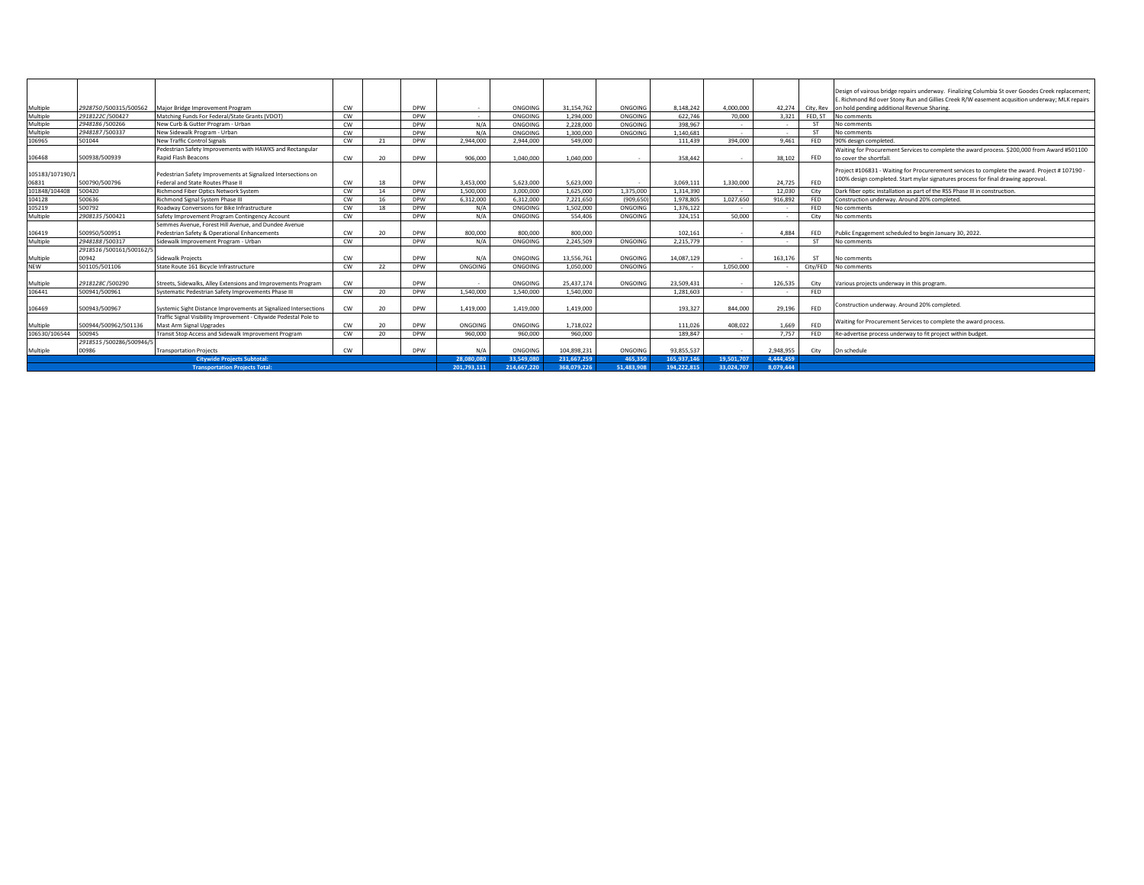|                 |                          |                                                                   |           |                 |            |             |             |             |            |             |            |            |            | Design of vairous bridge repairs underway. Finalizing Columbia St over Goodes Creek replacement |
|-----------------|--------------------------|-------------------------------------------------------------------|-----------|-----------------|------------|-------------|-------------|-------------|------------|-------------|------------|------------|------------|-------------------------------------------------------------------------------------------------|
|                 |                          |                                                                   |           |                 |            |             |             |             |            |             |            |            |            | E. Richmond Rd over Stony Run and Gillies Creek R/W easement acqusition underway; MLK repairs   |
| Multiple        | 2928750 /500315/500562   | Major Bridge Improvement Program                                  | <b>CW</b> |                 | DPW        |             | ONGOING     | 31.154.762  | ONGOING    | 8.148.242   | 4.000.000  | 42.274     | City, Rev  | on hold pending additional Revenue Sharing.                                                     |
| Multiple        | 2918122C/500427          | Matching Funds For Federal/State Grants (VDOT)                    | <b>CW</b> |                 | DPW        |             | ONGOING     | 1.294.000   | ONGOING    | 622.746     | 70,000     | 3.321      | FED, ST    | No comments                                                                                     |
| Multiple        | 2948186 /500266          | New Curb & Gutter Program - Urban                                 | <b>CW</b> |                 | <b>DPW</b> | N/A         | ONGOING     | 2.228.000   | ONGOING    | 398.967     |            |            | <b>ST</b>  | No comments                                                                                     |
| Multiple        | 2948187/500337           | New Sidewalk Program - Urban                                      | <b>CW</b> |                 | <b>DPW</b> | N/A         | ONGOING     | 1.300.000   | ONGOING    | 1.140.681   | $\sim$     | <b>COL</b> | <b>ST</b>  | No comments                                                                                     |
| 106965          | 501044                   | <b>New Traffic Control Signals</b>                                | <b>CW</b> | 21              | DPW        | 2.944.000   | 2.944.000   | 549,000     |            | 111.439     | 394.000    | 9.461      | FED        | 90% design completed.                                                                           |
|                 |                          | Pedestrian Safety Improvements with HAWKS and Rectangular         |           |                 |            |             |             |             |            |             |            |            |            | Waiting for Procurement Services to complete the award process. \$200,000 from Award #501100    |
| 106468          | 500938/500939            | <b>Rapid Flash Beacons</b>                                        | <b>CW</b> | 20              | DPW        | 906,000     | 1.040.000   | 1.040.000   |            | 358,442     | $\sim$     | 38.102     | <b>FED</b> | to cover the shortfall.                                                                         |
|                 |                          |                                                                   |           |                 |            |             |             |             |            |             |            |            |            |                                                                                                 |
| 105183/107190/1 |                          | Pedestrian Safety Improvements at Signalized Intersections on     |           |                 |            |             |             |             |            |             |            |            |            | Project #106831 - Waiting for Procurerement services to complete the award. Project #107190 -   |
| 06831           | 500790/500796            | Federal and State Routes Phase II                                 | <b>CW</b> | 18              | DPW        | 3.453.000   | 5.623.000   | 5.623.000   |            | 3.069.111   | 1.330.000  | 24.725     | <b>FED</b> | 100% design completed. Start mylar signatures process for final drawing approval.               |
| 101848/104408   | 500420                   | <b>Richmond Fiber Optics Network System</b>                       | <b>CW</b> | 14              | DPW        | 1,500,000   | 3.000.000   | 1.625.000   | 1.375.000  | 1.314.390   |            | 12.030     | City       | Dark fiber optic installation as part of the RSS Phase III in construction.                     |
| 104128          | 500636                   | Richmond Signal System Phase III                                  | <b>CW</b> | 16              | DPW        | 6,312,000   | 6.312.000   | 7.221.650   | (909.650)  | 1.978.805   | 1,027,650  | 916,892    | FED        | Construction underway. Around 20% completed.                                                    |
| 105219          | 500792                   | Roadway Conversions for Bike Infrastructure                       | <b>CW</b> | 18              | DPW        | N/A         | ONGOING     | 1.502.000   | ONGOING    | 1,376,122   |            | $\sim$     | FED        | No comments                                                                                     |
| Multiple        | 2908135 /500421          | Safety Improvement Program Contingency Account                    | <b>CW</b> |                 | DPW        | N/A         | ONGOING     | 554,406     | ONGOING    | 324.151     | 50,000     | $\sim$     | City       | No comments                                                                                     |
|                 |                          | Semmes Avenue, Forest Hill Avenue, and Dundee Avenue              |           |                 |            |             |             |             |            |             |            |            |            |                                                                                                 |
| 106419          | 500950/500951            | Pedestrian Safety & Operational Enhancements                      | <b>CW</b> | 20              | <b>DPW</b> | 800,000     | 800,000     | 800,000     |            | 102.161     | $\sim$     | 4.884      | FED        | Public Engagement scheduled to begin January 30, 2022.                                          |
| Multiple        | 2948188 /500317          | Sidewalk Improvement Program - Urban                              | <b>CW</b> |                 | DPW        | N/A         | ONGOING     | 2.245.509   | ONGOING    | 2.215.779   | $\sim$     | $\sim$     | <b>ST</b>  | No comments                                                                                     |
|                 | 2918516/500161/500162/5  |                                                                   |           |                 |            |             |             |             |            |             |            |            |            |                                                                                                 |
| Multiple        | 00942                    | Sidewalk Projects                                                 | <b>CW</b> |                 | <b>DPW</b> | N/A         | ONGOING     | 13.556.761  | ONGOING    | 14.087.129  |            | 163.176    | <b>ST</b>  | No comments                                                                                     |
| <b>NEW</b>      | 501105/501106            | State Route 161 Bicycle Infrastructure                            | <b>CW</b> | 22              | DPW        | ONGOING     | ONGOING     | 1.050.000   | ONGOING    |             | 1.050.000  |            | City/FED   | No comments                                                                                     |
|                 |                          |                                                                   |           |                 |            |             |             |             |            |             |            |            |            |                                                                                                 |
| Multiple        | 2918128C/500290          | Streets, Sidewalks, Alley Extensions and Improvements Program     | <b>CW</b> |                 | <b>DPW</b> |             | ONGOING     | 25.437.174  | ONGOING    | 23.509.431  | $\sim$     | 126,535    | City       | Various projects underway in this program                                                       |
| 106441          | 500941/500961            | Systematic Pedestrian Safety Improvements Phase III               | CW        | 20              | <b>DPW</b> | 1.540.000   | 1.540.000   | 1.540.000   |            | 1.281.603   | $\sim$     | <b>COL</b> | FFD.       |                                                                                                 |
|                 |                          |                                                                   |           |                 |            |             |             |             |            |             |            |            |            | Construction underway. Around 20% completed.                                                    |
| 106469          | 500943/500967            | Systemic Sight Distance Improvements at Signalized Intersections  | <b>CW</b> | 20              | DPW        | 1.419.000   | 1.419.000   | 1.419.000   |            | 193,327     | 844,000    | 29.196     | <b>FED</b> |                                                                                                 |
|                 |                          | Traffic Signal Visibility Improvement - Citywide Pedestal Pole to |           |                 |            |             |             |             |            |             |            |            |            | Waiting for Procurement Services to complete the award process.                                 |
| Multiple        | 500944/500962/501136     | Mast Arm Signal Upgrades                                          | CW        | 20              | DPW        | ONGOING     | ONGOING     | 1.718.022   |            | 111.026     | 408.022    | 1.669      | FED        |                                                                                                 |
| 106530/106544   | 500945                   | Transit Stop Access and Sidewalk Improvement Program              | <b>CW</b> | 20 <sup>2</sup> | DPW        | 960,000     | 960,000     | 960,000     |            | 189.847     | $\sim$     | 7.757      | FED        | Re-advertise process underway to fit project within budget.                                     |
|                 | 2918515 /500286/500946/5 |                                                                   |           |                 |            |             |             |             |            |             |            |            |            |                                                                                                 |
| Multiple        | 00986                    | <b>Transportation Projects</b>                                    | <b>CW</b> |                 | DPW        | N/A         | ONGOING     | 104.898.231 | ONGOING    | 93.855.537  |            | 2.948.955  |            | City On schedule                                                                                |
|                 |                          | <b>Citywide Projects Subtotal:</b>                                |           |                 |            | 28,080,080  | 33,549,080  | 231,667,259 | 465.350    | 165,937,146 | 19,501,707 | 4,444,459  |            |                                                                                                 |
|                 |                          | <b>Transportation Projects Total:</b>                             |           |                 |            | 201.793.111 | 214.667.220 | 368.079.226 | 51.483.908 | 194.222.815 | 33.024.707 | 8.079.444  |            |                                                                                                 |
|                 |                          |                                                                   |           |                 |            |             |             |             |            |             |            |            |            |                                                                                                 |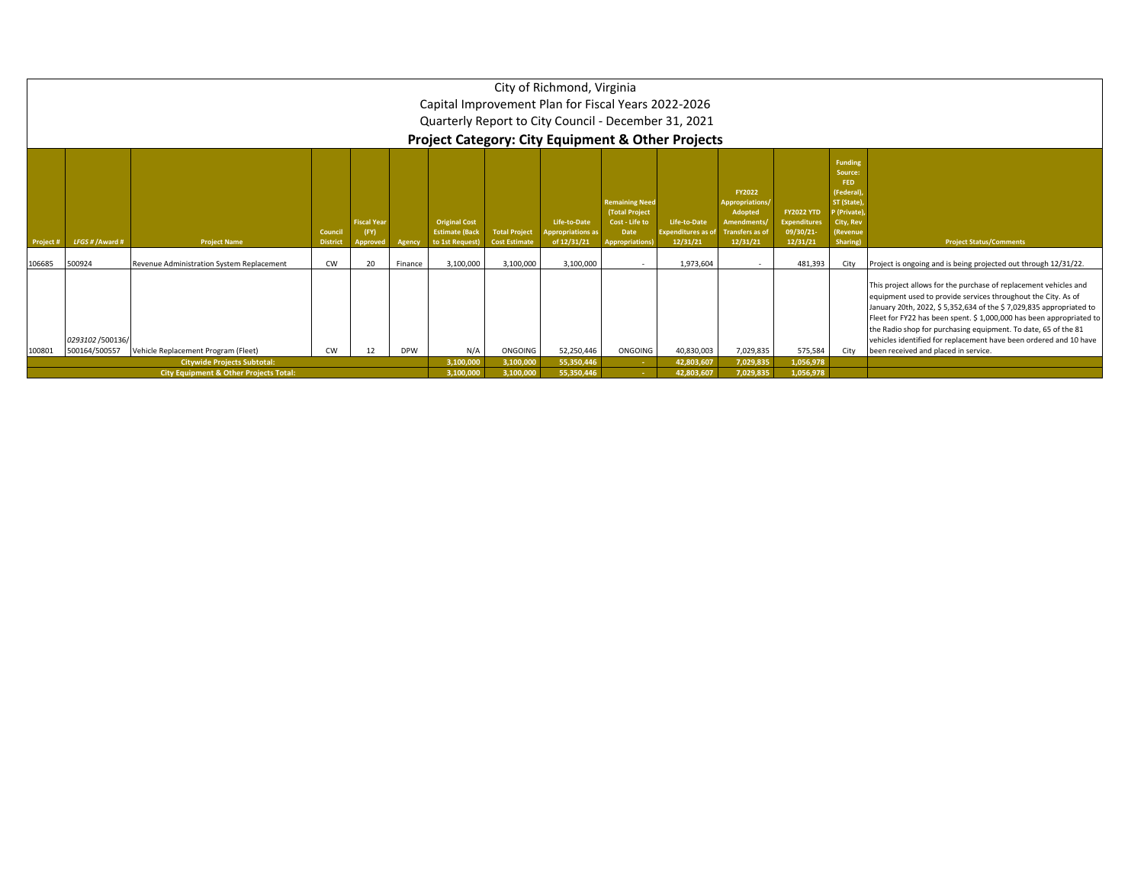|                                                                                                                                                                                          |                                                                                                                                                                                                                                                                                                                                                                                                                                                                                                                                                                                                                                                                                                                                                                               |                                                                                         |           |                        |                        |                          |           | City of Richmond, Virginia<br>Capital Improvement Plan for Fiscal Years 2022-2026<br>Quarterly Report to City Council - December 31, 2021 |                        | <b>Project Category: City Equipment &amp; Other Projects</b> |                                                                                                                                                                                                                                                                                                                                                                                                                       |         |      |                                                                 |
|------------------------------------------------------------------------------------------------------------------------------------------------------------------------------------------|-------------------------------------------------------------------------------------------------------------------------------------------------------------------------------------------------------------------------------------------------------------------------------------------------------------------------------------------------------------------------------------------------------------------------------------------------------------------------------------------------------------------------------------------------------------------------------------------------------------------------------------------------------------------------------------------------------------------------------------------------------------------------------|-----------------------------------------------------------------------------------------|-----------|------------------------|------------------------|--------------------------|-----------|-------------------------------------------------------------------------------------------------------------------------------------------|------------------------|--------------------------------------------------------------|-----------------------------------------------------------------------------------------------------------------------------------------------------------------------------------------------------------------------------------------------------------------------------------------------------------------------------------------------------------------------------------------------------------------------|---------|------|-----------------------------------------------------------------|
| Project #                                                                                                                                                                                | <b>Funding</b><br>Source:<br>FED<br>(Federal)<br>FY2022<br><b>Remaining Need</b><br>ST (State)<br>Appropriations/<br><b>FY2022 YTD</b><br>(Total Project<br>Adopted<br>(Private)<br><b>Original Cost</b><br><b>Fiscal Year</b><br>Life-to-Date<br>Cost - Life to<br>Life-to-Date<br><b>Amendments</b><br><b>Expenditures</b><br>City, Rev<br>(FY)<br><b>Estimate (Back</b><br><b>Total Project</b><br>Expenditures as of<br>Transfers as o<br>09/30/21-<br>Council<br><b>Appropriations as</b><br>Date<br>(Revenue<br>LFGS # / Award #<br>12/31/21<br><b>Project Name</b><br><b>District</b><br>Agency<br>to 1st Request)<br><b>Cost Estimate</b><br>of 12/31/21<br><b>Appropriations</b> )<br>12/31/21<br>12/31/21<br><b>Project Status/Comments</b><br>Sharing)<br>Approved |                                                                                         |           |                        |                        |                          |           |                                                                                                                                           |                        |                                                              |                                                                                                                                                                                                                                                                                                                                                                                                                       |         |      |                                                                 |
| 106685                                                                                                                                                                                   | 500924                                                                                                                                                                                                                                                                                                                                                                                                                                                                                                                                                                                                                                                                                                                                                                        | Revenue Administration System Replacement                                               | <b>CW</b> | 20                     | Finance                | 3,100,000                | 3,100,000 | 3,100,000                                                                                                                                 |                        | 1,973,604                                                    |                                                                                                                                                                                                                                                                                                                                                                                                                       | 481,393 | City | Project is ongoing and is being projected out through 12/31/22. |
|                                                                                                                                                                                          | 0293102 /500136/                                                                                                                                                                                                                                                                                                                                                                                                                                                                                                                                                                                                                                                                                                                                                              |                                                                                         |           |                        |                        |                          |           |                                                                                                                                           |                        |                                                              | This project allows for the purchase of replacement vehicles and<br>equipment used to provide services throughout the City. As of<br>January 20th, 2022, \$5,352,634 of the \$7,029,835 appropriated to<br>Fleet for FY22 has been spent. \$1,000,000 has been appropriated to<br>the Radio shop for purchasing equipment. To date, 65 of the 81<br>vehicles identified for replacement have been ordered and 10 have |         |      |                                                                 |
| 500164/500557<br>52,250,446<br>ONGOING<br>7,029,835<br>575,584<br>Vehicle Replacement Program (Fleet)<br><b>CW</b><br>12<br><b>DPW</b><br>N/A<br>ONGOING<br>40,830,003<br>City<br>100801 |                                                                                                                                                                                                                                                                                                                                                                                                                                                                                                                                                                                                                                                                                                                                                                               |                                                                                         |           |                        |                        |                          |           |                                                                                                                                           |                        |                                                              | been received and placed in service.                                                                                                                                                                                                                                                                                                                                                                                  |         |      |                                                                 |
|                                                                                                                                                                                          |                                                                                                                                                                                                                                                                                                                                                                                                                                                                                                                                                                                                                                                                                                                                                                               | <b>Citywide Projects Subtotal:</b><br><b>City Equipment &amp; Other Projects Total:</b> |           | 3,100,000<br>3,100,000 | 3,100,000<br>3,100,000 | 55,350,446<br>55,350,446 |           | 42,803,607<br>42,803,607                                                                                                                  | 7,029,835<br>7,029,835 | 1,056,978<br>1,056,978                                       |                                                                                                                                                                                                                                                                                                                                                                                                                       |         |      |                                                                 |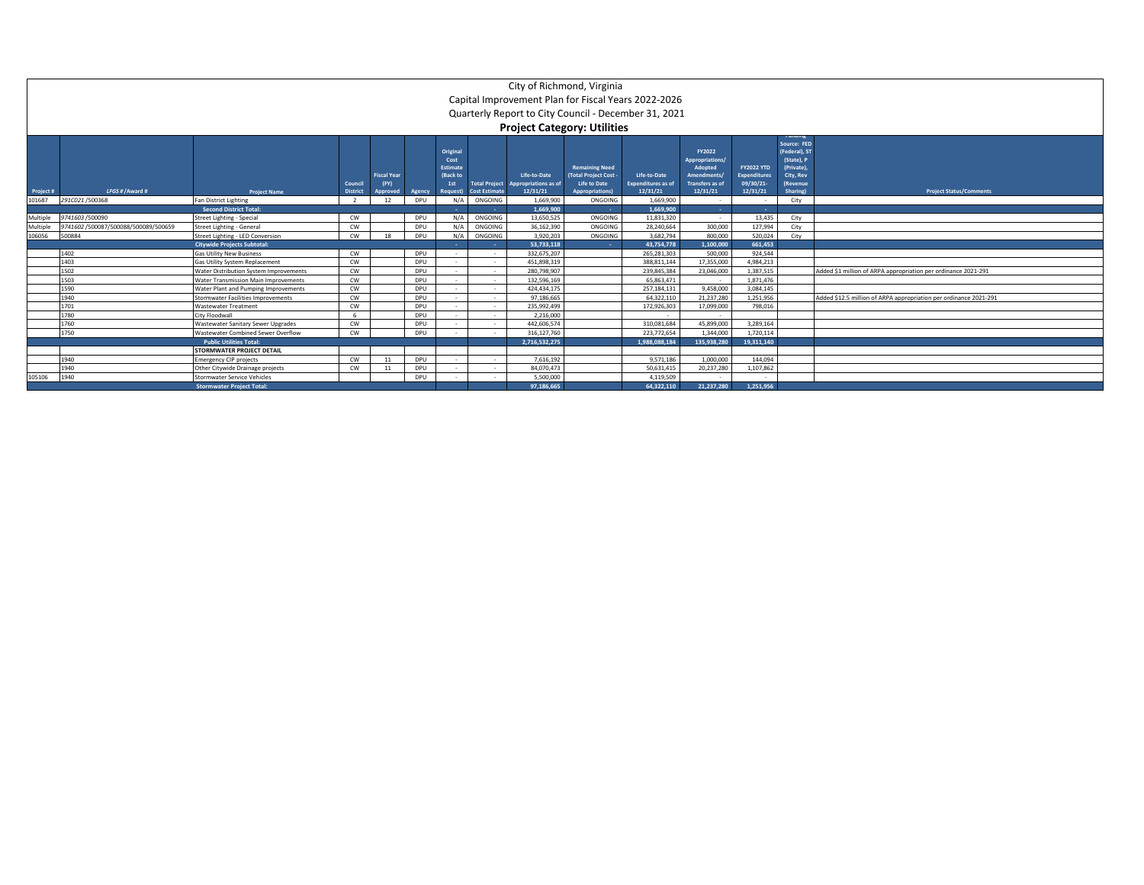|                     | City of Richmond, Virginia<br>Capital Improvement Plan for Fiscal Years 2022-2026<br>Quarterly Report to City Council - December 31, 2021 |                                                     |                      |                            |                      |                                                        |                                 |                                                                                   |                                                                     |                                           |                                                                        |                                                       |                                                                                             |                                                                   |
|---------------------|-------------------------------------------------------------------------------------------------------------------------------------------|-----------------------------------------------------|----------------------|----------------------------|----------------------|--------------------------------------------------------|---------------------------------|-----------------------------------------------------------------------------------|---------------------------------------------------------------------|-------------------------------------------|------------------------------------------------------------------------|-------------------------------------------------------|---------------------------------------------------------------------------------------------|-------------------------------------------------------------------|
|                     |                                                                                                                                           |                                                     | Council              | <b>Fiscal Year</b><br>(FY) |                      | Original<br>Cost<br><b>Estimate</b><br>(Back to<br>1st | <b>Total Project</b>            | <b>Project Category: Utilities</b><br>Life-to-Date<br><b>Appropriations as of</b> | <b>Remaining Need</b><br>(Total Project Cost<br><b>Life to Date</b> | Life-to-Date<br><b>Expenditures</b> as of | FY2022<br>Appropriations/<br>Adopted<br>Amendments/<br>Transfers as of | <b>FY2022 YTD</b><br><b>Expenditures</b><br>09/30/21- | runumg<br>Source: FED<br>(Federal), ST<br>(State), P<br>(Private).<br>City, Rev<br>(Revenue |                                                                   |
| Project #<br>101687 | LFGS # / Award #<br>291C021/500368                                                                                                        | <b>Project Name</b><br><b>Fan District Lighting</b> | <b>District</b><br>2 | pproved<br>12              | <b>Agency</b><br>DPU | <b>Request</b> )<br>N/A                                | <b>Cost Estimate</b><br>ONGOING | 12/31/21<br>1.669.900                                                             | <b>Appropriations</b><br>ONGOING                                    | 12/31/21<br>1.669.900                     | 12/31/21<br>$\sim$                                                     | 12/31/21<br>$\sim$                                    | Sharing)<br>City                                                                            | <b>Project Status/Comments</b>                                    |
|                     |                                                                                                                                           | <b>Second District Total:</b>                       |                      |                            |                      |                                                        |                                 | 1.669.900                                                                         | - 11                                                                | 1.669.900                                 | <b>Service</b>                                                         | $\sim$ $\sim$                                         |                                                                                             |                                                                   |
| Multiple            | 9741603/500090                                                                                                                            | Street Lighting - Special                           | CW                   |                            | DPU                  | N/A                                                    | ONGOING                         | 13,650,525                                                                        | ONGOING                                                             | 11,831,320                                | $\sim$                                                                 | 13,435                                                | City                                                                                        |                                                                   |
| Multiple            | 9741602 /500087/500088/500089/500659                                                                                                      | Street Lighting - General                           | CW                   |                            | DPU                  | $N/\rho$                                               | ONGOING                         | 36,162,390                                                                        | ONGOING                                                             | 28,240,664                                | 300,000                                                                | 127,994                                               | City                                                                                        |                                                                   |
| 106056              | 500884                                                                                                                                    | Street Lighting - LED Conversion                    | CW                   | 18                         | DPU                  | N/A                                                    | ONGOING                         | 3.920.203                                                                         | ONGOING                                                             | 3.682.794                                 | 800,000                                                                | 520,024                                               | City                                                                                        |                                                                   |
|                     |                                                                                                                                           | <b>Citywide Projects Subtotal:</b>                  |                      |                            |                      |                                                        |                                 | 53.733.118                                                                        |                                                                     | 43.754.778                                | 1.100.000                                                              | 661.453                                               |                                                                                             |                                                                   |
|                     | 1402                                                                                                                                      | <b>Gas Utility New Business</b>                     | CW                   |                            | <b>DPU</b>           |                                                        | - 11                            | 332.675.207                                                                       |                                                                     | 265.281.303                               | 500,000                                                                | 924.544                                               |                                                                                             |                                                                   |
|                     | 1403                                                                                                                                      | Gas Utility System Replacement                      | CW                   |                            | DPU                  |                                                        | $\sim$                          | 451.898.319                                                                       |                                                                     | 388.811.144                               | 17,355,000                                                             | 4.984.213                                             |                                                                                             |                                                                   |
|                     | 1502                                                                                                                                      | Water Distribution System Improvements              | CW                   |                            | DPU                  | $\sim$                                                 | $\sim$                          | 280.798.907                                                                       |                                                                     | 239.845.384                               | 23.046.000                                                             | 1,387,515                                             |                                                                                             | Added \$1 million of ARPA appropriation per ordinance 2021-291    |
|                     | 1503                                                                                                                                      | Water Transmission Main Improvements                | CW                   |                            | DPU                  |                                                        | $\sim$                          | 132.596.169                                                                       |                                                                     | 65.863.471                                | $\sim$                                                                 | 1.871.476                                             |                                                                                             |                                                                   |
|                     | 1590                                                                                                                                      | Water Plant and Pumping Improvements                | CW                   |                            | DPU                  |                                                        | - 1                             | 424.434.175                                                                       |                                                                     | 257.184.131                               | 9.458.000                                                              | 3.084.145                                             |                                                                                             |                                                                   |
|                     | 1940                                                                                                                                      | Stormwater Facilities Improvements                  | CW                   |                            | DPU                  |                                                        | - 1                             | 97.186.665                                                                        |                                                                     | 64.322.110                                | 21,237,280                                                             | 1.251.956                                             |                                                                                             | Added \$12.5 million of ARPA appropriation per ordinance 2021-291 |
|                     | 1701                                                                                                                                      | <b>Wastewater Treatment</b>                         | CW                   |                            | DPU                  |                                                        | $\sim$                          | 235.992.499                                                                       |                                                                     | 172,926,303                               | 17,099,000                                                             | 798,016                                               |                                                                                             |                                                                   |
|                     | 1780                                                                                                                                      | City Floodwall                                      | - 6                  |                            | DPU                  |                                                        | $\sim$                          | 2.216.000                                                                         |                                                                     |                                           | $\sim$                                                                 |                                                       |                                                                                             |                                                                   |
|                     | 1760                                                                                                                                      | Wastewater Sanitary Sewer Upgrades                  | CW                   |                            | DPU                  |                                                        | $\sim$                          | 442.606.574                                                                       |                                                                     | 310.081.684                               | 45.899.000                                                             | 3.289.164                                             |                                                                                             |                                                                   |
|                     | 1750                                                                                                                                      | Wastewater Combined Sewer Overflow                  | CW                   |                            | DPU                  |                                                        |                                 | 316.127.760                                                                       |                                                                     | 223.772.654                               | 1.344.000                                                              | 1,720,114                                             |                                                                                             |                                                                   |
|                     |                                                                                                                                           | <b>Public Utilities Total:</b>                      |                      |                            |                      |                                                        |                                 | 2.716.532.275                                                                     |                                                                     | 1.988.088.184                             | 135.938.280                                                            | 19.311.140                                            |                                                                                             |                                                                   |
|                     |                                                                                                                                           | STORMWATER PROJECT DETAIL                           |                      |                            |                      |                                                        |                                 |                                                                                   |                                                                     |                                           |                                                                        |                                                       |                                                                                             |                                                                   |
|                     | 1940                                                                                                                                      | <b>Emergency CIP projects</b>                       | CW                   | 11                         | DPU                  |                                                        | $\sim$                          | 7.616.192                                                                         |                                                                     | 9.571.186                                 | 1.000.000                                                              | 144,094                                               |                                                                                             |                                                                   |
|                     | 1940                                                                                                                                      | Other Citywide Drainage projects                    | CW                   | 11                         | DPU                  |                                                        | $\sim$                          | 84,070,473                                                                        |                                                                     | 50,631,415                                | 20,237,280                                                             | 1,107,862                                             |                                                                                             |                                                                   |
| 105106              | 1940                                                                                                                                      | Stormwater Service Vehicles                         |                      |                            | DPU                  |                                                        |                                 | 5.500.000                                                                         |                                                                     | 4.119.509                                 |                                                                        |                                                       |                                                                                             |                                                                   |
|                     |                                                                                                                                           | <b>Stormwater Project Total:</b>                    |                      |                            |                      | 97,186,665                                             |                                 | 64.322.110                                                                        | 21.237.280                                                          | 1.251.956                                 |                                                                        |                                                       |                                                                                             |                                                                   |